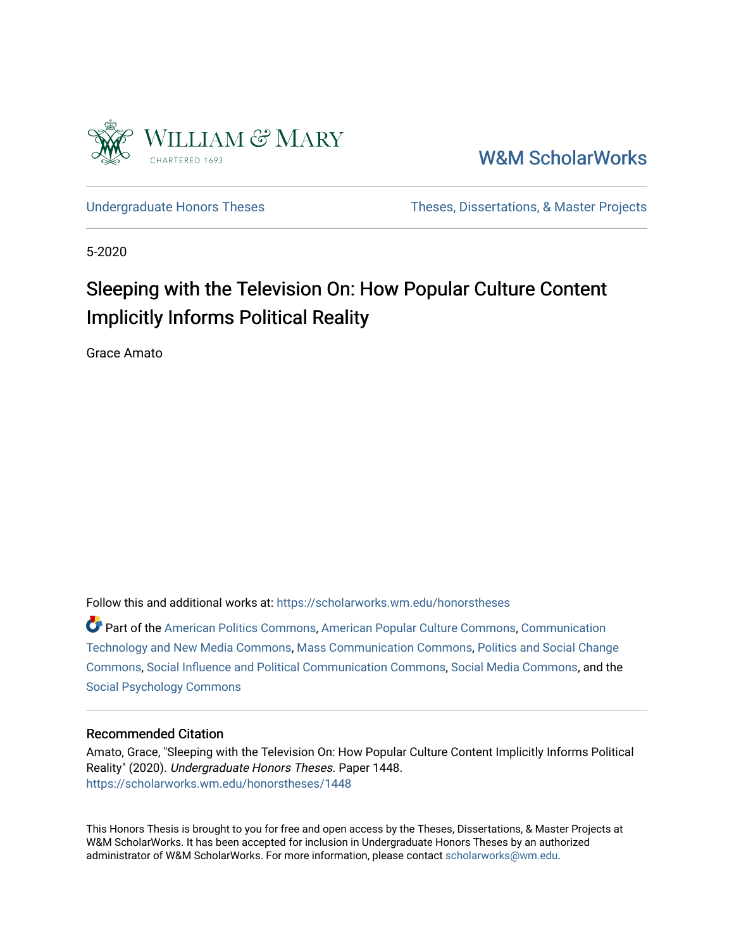

[W&M ScholarWorks](https://scholarworks.wm.edu/) 

[Undergraduate Honors Theses](https://scholarworks.wm.edu/honorstheses) Theses Theses, Dissertations, & Master Projects

5-2020

# Sleeping with the Television On: How Popular Culture Content Implicitly Informs Political Reality

Grace Amato

Follow this and additional works at: [https://scholarworks.wm.edu/honorstheses](https://scholarworks.wm.edu/honorstheses?utm_source=scholarworks.wm.edu%2Fhonorstheses%2F1448&utm_medium=PDF&utm_campaign=PDFCoverPages) 

Part of the [American Politics Commons,](http://network.bepress.com/hgg/discipline/387?utm_source=scholarworks.wm.edu%2Fhonorstheses%2F1448&utm_medium=PDF&utm_campaign=PDFCoverPages) [American Popular Culture Commons](http://network.bepress.com/hgg/discipline/443?utm_source=scholarworks.wm.edu%2Fhonorstheses%2F1448&utm_medium=PDF&utm_campaign=PDFCoverPages), [Communication](http://network.bepress.com/hgg/discipline/327?utm_source=scholarworks.wm.edu%2Fhonorstheses%2F1448&utm_medium=PDF&utm_campaign=PDFCoverPages)  [Technology and New Media Commons](http://network.bepress.com/hgg/discipline/327?utm_source=scholarworks.wm.edu%2Fhonorstheses%2F1448&utm_medium=PDF&utm_campaign=PDFCoverPages), [Mass Communication Commons](http://network.bepress.com/hgg/discipline/334?utm_source=scholarworks.wm.edu%2Fhonorstheses%2F1448&utm_medium=PDF&utm_campaign=PDFCoverPages), [Politics and Social Change](http://network.bepress.com/hgg/discipline/425?utm_source=scholarworks.wm.edu%2Fhonorstheses%2F1448&utm_medium=PDF&utm_campaign=PDFCoverPages) [Commons](http://network.bepress.com/hgg/discipline/425?utm_source=scholarworks.wm.edu%2Fhonorstheses%2F1448&utm_medium=PDF&utm_campaign=PDFCoverPages), [Social Influence and Political Communication Commons,](http://network.bepress.com/hgg/discipline/337?utm_source=scholarworks.wm.edu%2Fhonorstheses%2F1448&utm_medium=PDF&utm_campaign=PDFCoverPages) [Social Media Commons](http://network.bepress.com/hgg/discipline/1249?utm_source=scholarworks.wm.edu%2Fhonorstheses%2F1448&utm_medium=PDF&utm_campaign=PDFCoverPages), and the [Social Psychology Commons](http://network.bepress.com/hgg/discipline/414?utm_source=scholarworks.wm.edu%2Fhonorstheses%2F1448&utm_medium=PDF&utm_campaign=PDFCoverPages)

#### Recommended Citation

Amato, Grace, "Sleeping with the Television On: How Popular Culture Content Implicitly Informs Political Reality" (2020). Undergraduate Honors Theses. Paper 1448. [https://scholarworks.wm.edu/honorstheses/1448](https://scholarworks.wm.edu/honorstheses/1448?utm_source=scholarworks.wm.edu%2Fhonorstheses%2F1448&utm_medium=PDF&utm_campaign=PDFCoverPages)

This Honors Thesis is brought to you for free and open access by the Theses, Dissertations, & Master Projects at W&M ScholarWorks. It has been accepted for inclusion in Undergraduate Honors Theses by an authorized administrator of W&M ScholarWorks. For more information, please contact [scholarworks@wm.edu.](mailto:scholarworks@wm.edu)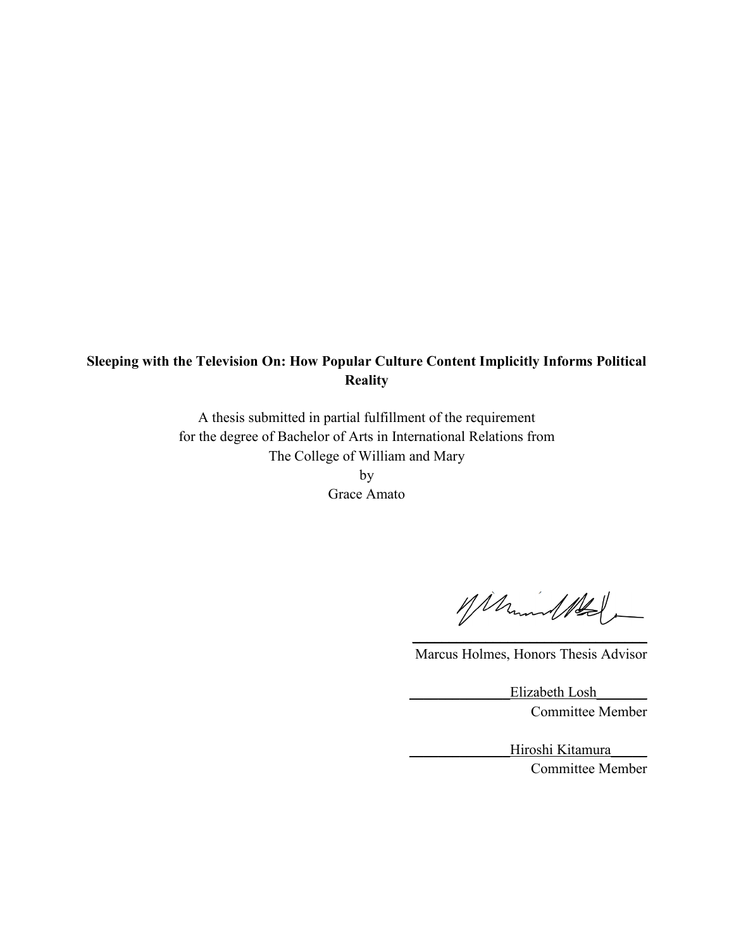### **Sleeping with the Television On: How Popular Culture Content Implicitly Informs Political Reality**

A thesis submitted in partial fulfillment of the requirement for the degree of Bachelor of Arts in International Relations from The College of William and Mary

by Grace Amato

Marmul Ald

 $\overline{\phantom{a}}$  , which is a set of the set of the set of the set of the set of the set of the set of the set of the set of the set of the set of the set of the set of the set of the set of the set of the set of the set of th Marcus Holmes, Honors Thesis Advisor

> Elizabeth Losh Committee Member

> > Hiroshi Kitamura Committee Member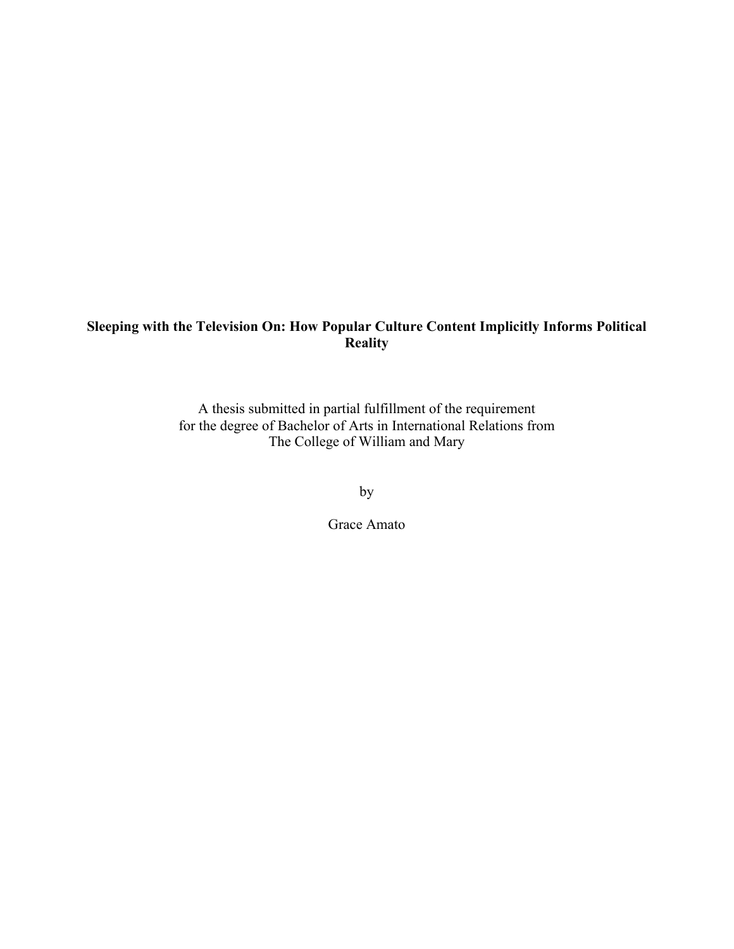## **Sleeping with the Television On: How Popular Culture Content Implicitly Informs Political Reality**

A thesis submitted in partial fulfillment of the requirement for the degree of Bachelor of Arts in International Relations from The College of William and Mary

by

Grace Amato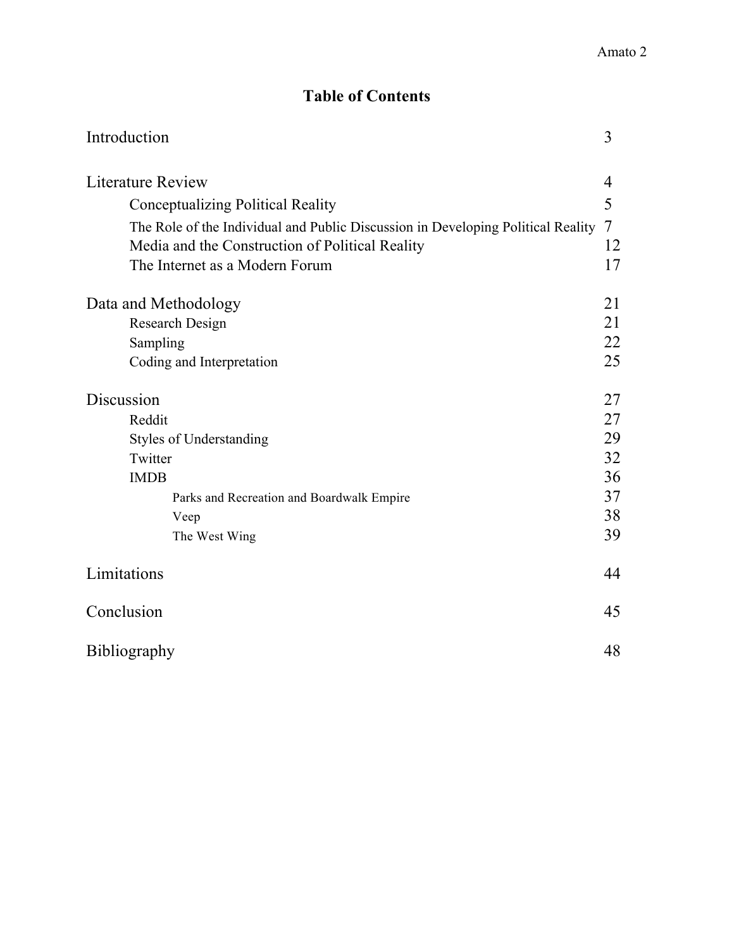## **Table of Contents**

| Introduction                                                                                                                        | 3       |
|-------------------------------------------------------------------------------------------------------------------------------------|---------|
| <b>Literature Review</b>                                                                                                            | 4       |
| <b>Conceptualizing Political Reality</b>                                                                                            | 5       |
| The Role of the Individual and Public Discussion in Developing Political Reality<br>Media and the Construction of Political Reality | 7<br>12 |
| The Internet as a Modern Forum                                                                                                      | 17      |
| Data and Methodology                                                                                                                | 21      |
| Research Design                                                                                                                     | 21      |
| Sampling                                                                                                                            | 22      |
| Coding and Interpretation                                                                                                           | 25      |
| Discussion                                                                                                                          | 27      |
| Reddit                                                                                                                              | 27      |
| <b>Styles of Understanding</b>                                                                                                      | 29      |
| Twitter                                                                                                                             | 32      |
| <b>IMDB</b>                                                                                                                         | 36      |
| Parks and Recreation and Boardwalk Empire                                                                                           | 37      |
| Veep                                                                                                                                | 38      |
| The West Wing                                                                                                                       | 39      |
| Limitations                                                                                                                         | 44      |
| Conclusion                                                                                                                          | 45      |
| Bibliography                                                                                                                        | 48      |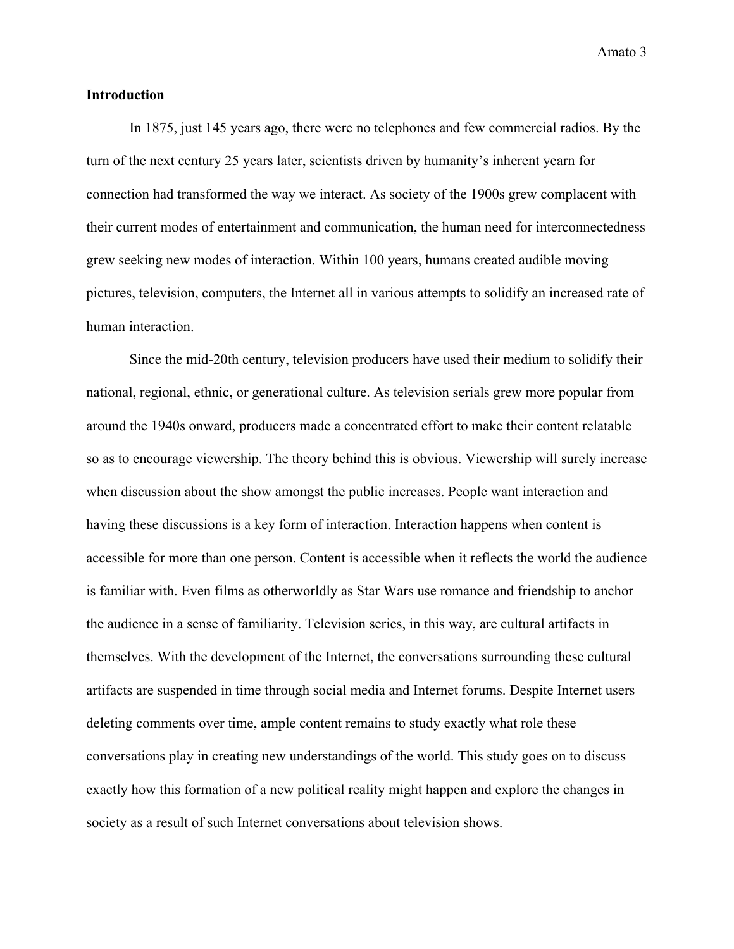#### **Introduction**

In 1875, just 145 years ago, there were no telephones and few commercial radios. By the turn of the next century 25 years later, scientists driven by humanity's inherent yearn for connection had transformed the way we interact. As society of the 1900s grew complacent with their current modes of entertainment and communication, the human need for interconnectedness grew seeking new modes of interaction. Within 100 years, humans created audible moving pictures, television, computers, the Internet all in various attempts to solidify an increased rate of human interaction.

Since the mid-20th century, television producers have used their medium to solidify their national, regional, ethnic, or generational culture. As television serials grew more popular from around the 1940s onward, producers made a concentrated effort to make their content relatable so as to encourage viewership. The theory behind this is obvious. Viewership will surely increase when discussion about the show amongst the public increases. People want interaction and having these discussions is a key form of interaction. Interaction happens when content is accessible for more than one person. Content is accessible when it reflects the world the audience is familiar with. Even films as otherworldly as Star Wars use romance and friendship to anchor the audience in a sense of familiarity. Television series, in this way, are cultural artifacts in themselves. With the development of the Internet, the conversations surrounding these cultural artifacts are suspended in time through social media and Internet forums. Despite Internet users deleting comments over time, ample content remains to study exactly what role these conversations play in creating new understandings of the world. This study goes on to discuss exactly how this formation of a new political reality might happen and explore the changes in society as a result of such Internet conversations about television shows.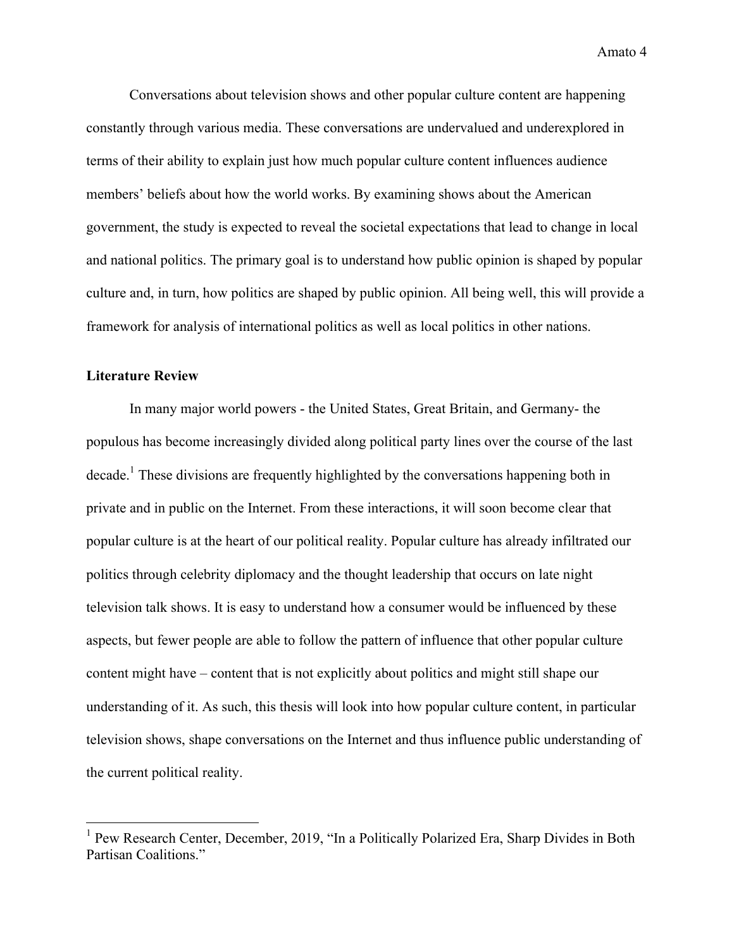Conversations about television shows and other popular culture content are happening constantly through various media. These conversations are undervalued and underexplored in terms of their ability to explain just how much popular culture content influences audience members' beliefs about how the world works. By examining shows about the American government, the study is expected to reveal the societal expectations that lead to change in local and national politics. The primary goal is to understand how public opinion is shaped by popular culture and, in turn, how politics are shaped by public opinion. All being well, this will provide a framework for analysis of international politics as well as local politics in other nations.

#### **Literature Review**

In many major world powers - the United States, Great Britain, and Germany- the populous has become increasingly divided along political party lines over the course of the last decade.1 These divisions are frequently highlighted by the conversations happening both in private and in public on the Internet. From these interactions, it will soon become clear that popular culture is at the heart of our political reality. Popular culture has already infiltrated our politics through celebrity diplomacy and the thought leadership that occurs on late night television talk shows. It is easy to understand how a consumer would be influenced by these aspects, but fewer people are able to follow the pattern of influence that other popular culture content might have – content that is not explicitly about politics and might still shape our understanding of it. As such, this thesis will look into how popular culture content, in particular television shows, shape conversations on the Internet and thus influence public understanding of the current political reality.

<sup>&</sup>lt;sup>1</sup> Pew Research Center, December, 2019, "In a Politically Polarized Era, Sharp Divides in Both Partisan Coalitions<sup>"</sup>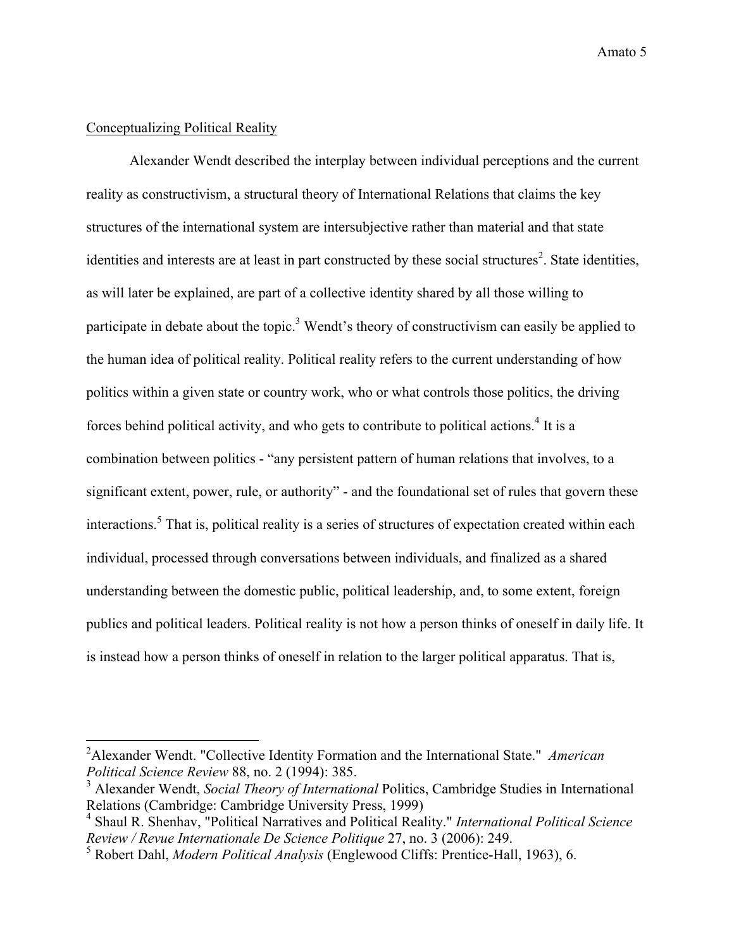## Conceptualizing Political Reality

Alexander Wendt described the interplay between individual perceptions and the current reality as constructivism, a structural theory of International Relations that claims the key structures of the international system are intersubjective rather than material and that state identities and interests are at least in part constructed by these social structures<sup>2</sup>. State identities, as will later be explained, are part of a collective identity shared by all those willing to participate in debate about the topic.<sup>3</sup> Wendt's theory of constructivism can easily be applied to the human idea of political reality. Political reality refers to the current understanding of how politics within a given state or country work, who or what controls those politics, the driving forces behind political activity, and who gets to contribute to political actions.<sup>4</sup> It is a combination between politics - "any persistent pattern of human relations that involves, to a significant extent, power, rule, or authority" - and the foundational set of rules that govern these interactions.<sup>5</sup> That is, political reality is a series of structures of expectation created within each individual, processed through conversations between individuals, and finalized as a shared understanding between the domestic public, political leadership, and, to some extent, foreign publics and political leaders. Political reality is not how a person thinks of oneself in daily life. It is instead how a person thinks of oneself in relation to the larger political apparatus. That is,

 <sup>2</sup> Alexander Wendt. "Collective Identity Formation and the International State." *American Political Science Review* 88, no. 2 (1994): 385.

<sup>&</sup>lt;sup>3</sup> Alexander Wendt, *Social Theory of International* Politics, Cambridge Studies in International Relations (Cambridge: Cambridge University Press, 1999)

<sup>4</sup> Shaul R. Shenhav, "Political Narratives and Political Reality." *International Political Science Review / Revue Internationale De Science Politique* 27, no. 3 (2006): 249.

<sup>5</sup> Robert Dahl, *Modern Political Analysis* (Englewood Cliffs: Prentice-Hall, 1963), 6.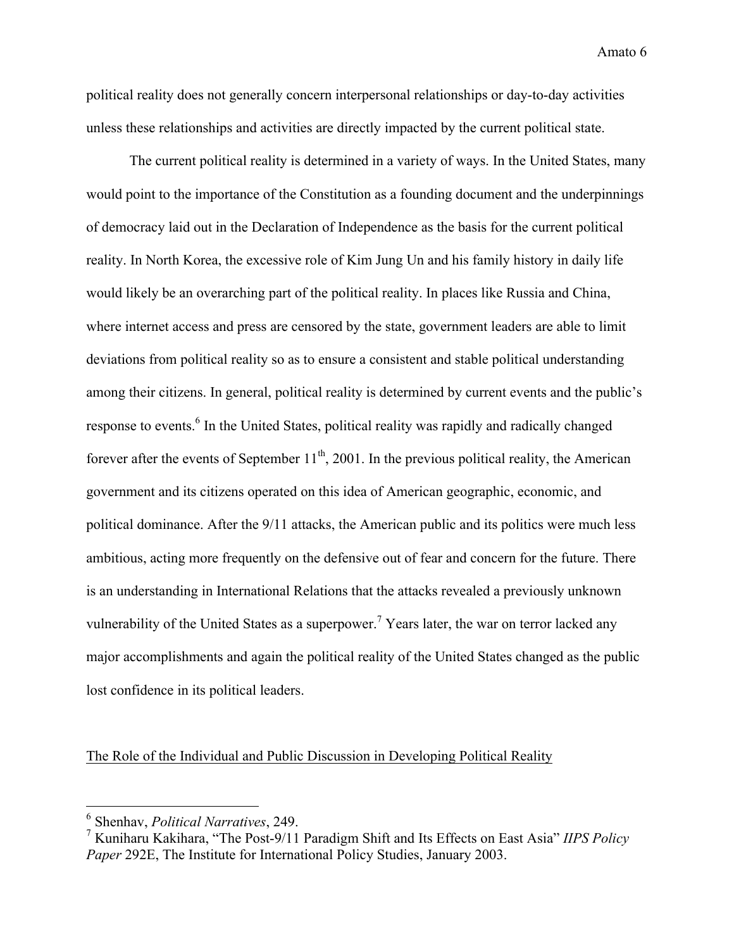political reality does not generally concern interpersonal relationships or day-to-day activities unless these relationships and activities are directly impacted by the current political state.

The current political reality is determined in a variety of ways. In the United States, many would point to the importance of the Constitution as a founding document and the underpinnings of democracy laid out in the Declaration of Independence as the basis for the current political reality. In North Korea, the excessive role of Kim Jung Un and his family history in daily life would likely be an overarching part of the political reality. In places like Russia and China, where internet access and press are censored by the state, government leaders are able to limit deviations from political reality so as to ensure a consistent and stable political understanding among their citizens. In general, political reality is determined by current events and the public's response to events.<sup>6</sup> In the United States, political reality was rapidly and radically changed forever after the events of September  $11<sup>th</sup>$ , 2001. In the previous political reality, the American government and its citizens operated on this idea of American geographic, economic, and political dominance. After the 9/11 attacks, the American public and its politics were much less ambitious, acting more frequently on the defensive out of fear and concern for the future. There is an understanding in International Relations that the attacks revealed a previously unknown vulnerability of the United States as a superpower.<sup>7</sup> Years later, the war on terror lacked any major accomplishments and again the political reality of the United States changed as the public lost confidence in its political leaders.

The Role of the Individual and Public Discussion in Developing Political Reality

 <sup>6</sup> Shenhav, *Political Narratives*, 249.

<sup>7</sup> Kuniharu Kakihara, "The Post-9/11 Paradigm Shift and Its Effects on East Asia" *IIPS Policy Paper* 292E, The Institute for International Policy Studies, January 2003.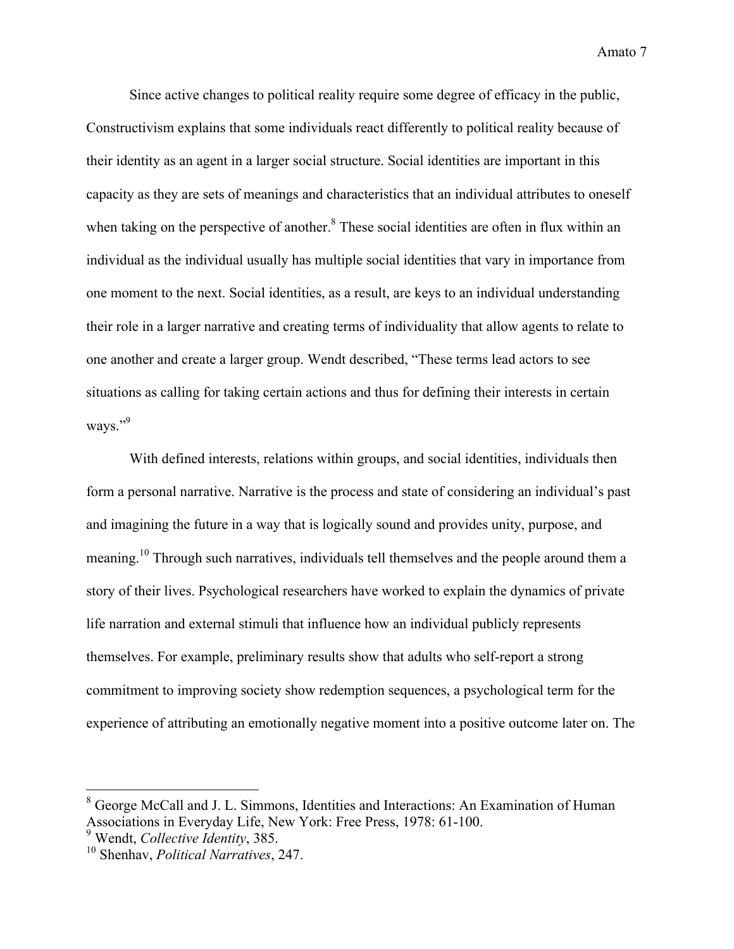Since active changes to political reality require some degree of efficacy in the public, Constructivism explains that some individuals react differently to political reality because of their identity as an agent in a larger social structure. Social identities are important in this capacity as they are sets of meanings and characteristics that an individual attributes to oneself when taking on the perspective of another.<sup>8</sup> These social identities are often in flux within an individual as the individual usually has multiple social identities that vary in importance from one moment to the next. Social identities, as a result, are keys to an individual understanding their role in a larger narrative and creating terms of individuality that allow agents to relate to one another and create a larger group. Wendt described, "These terms lead actors to see situations as calling for taking certain actions and thus for defining their interests in certain ways."9

With defined interests, relations within groups, and social identities, individuals then form a personal narrative. Narrative is the process and state of considering an individual's past and imagining the future in a way that is logically sound and provides unity, purpose, and meaning.<sup>10</sup> Through such narratives, individuals tell themselves and the people around them a story of their lives. Psychological researchers have worked to explain the dynamics of private life narration and external stimuli that influence how an individual publicly represents themselves. For example, preliminary results show that adults who self-report a strong commitment to improving society show redemption sequences, a psychological term for the experience of attributing an emotionally negative moment into a positive outcome later on. The

 <sup>8</sup> George McCall and J. L. Simmons, Identities and Interactions: An Examination of Human Associations in Everyday Life, New York: Free Press, 1978: 61-100.

<sup>9</sup> Wendt, *Collective Identity*, 385.

<sup>10</sup> Shenhav, *Political Narratives*, 247.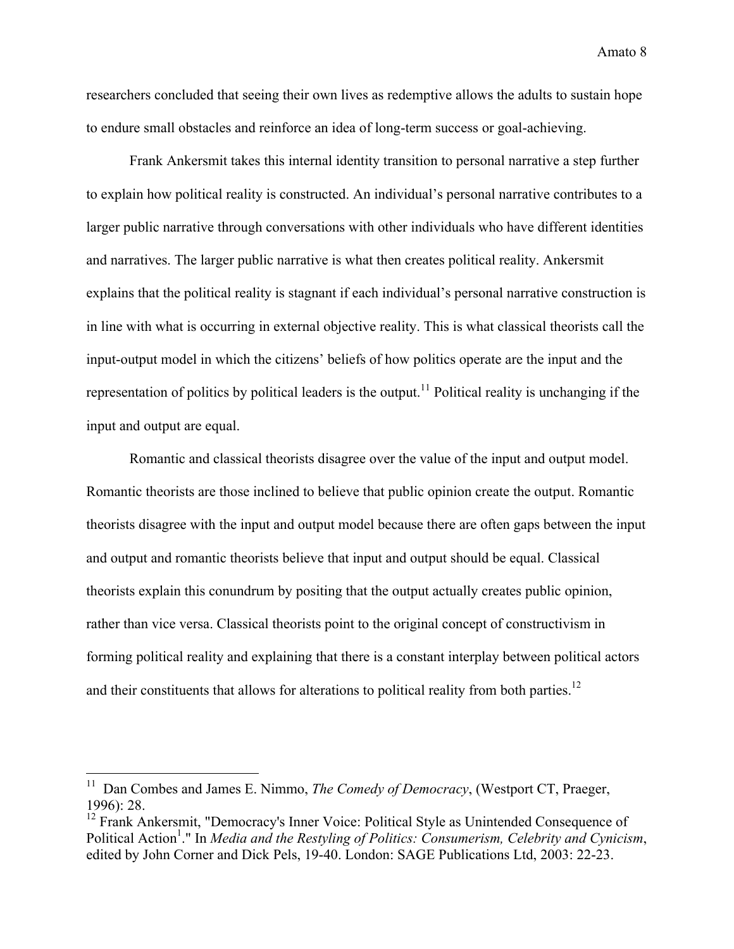researchers concluded that seeing their own lives as redemptive allows the adults to sustain hope to endure small obstacles and reinforce an idea of long-term success or goal-achieving.

Frank Ankersmit takes this internal identity transition to personal narrative a step further to explain how political reality is constructed. An individual's personal narrative contributes to a larger public narrative through conversations with other individuals who have different identities and narratives. The larger public narrative is what then creates political reality. Ankersmit explains that the political reality is stagnant if each individual's personal narrative construction is in line with what is occurring in external objective reality. This is what classical theorists call the input-output model in which the citizens' beliefs of how politics operate are the input and the representation of politics by political leaders is the output.<sup>11</sup> Political reality is unchanging if the input and output are equal.

Romantic and classical theorists disagree over the value of the input and output model. Romantic theorists are those inclined to believe that public opinion create the output. Romantic theorists disagree with the input and output model because there are often gaps between the input and output and romantic theorists believe that input and output should be equal. Classical theorists explain this conundrum by positing that the output actually creates public opinion, rather than vice versa. Classical theorists point to the original concept of constructivism in forming political reality and explaining that there is a constant interplay between political actors and their constituents that allows for alterations to political reality from both parties.<sup>12</sup>

<sup>&</sup>lt;sup>11</sup> Dan Combes and James E. Nimmo, *The Comedy of Democracy*, (Westport CT, Praeger, 1996): 28.

<sup>&</sup>lt;sup>12</sup> Frank Ankersmit, "Democracy's Inner Voice: Political Style as Unintended Consequence of Political Action<sup>1</sup>." In *Media and the Restyling of Politics: Consumerism, Celebrity and Cynicism,* edited by John Corner and Dick Pels, 19-40. London: SAGE Publications Ltd, 2003: 22-23.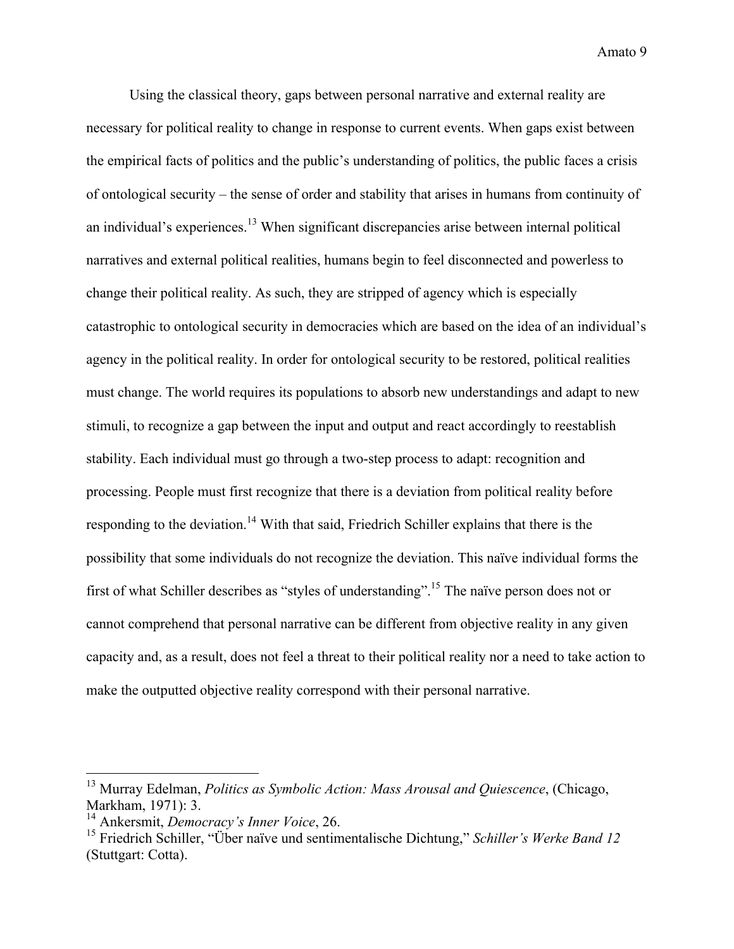Using the classical theory, gaps between personal narrative and external reality are necessary for political reality to change in response to current events. When gaps exist between the empirical facts of politics and the public's understanding of politics, the public faces a crisis of ontological security – the sense of order and stability that arises in humans from continuity of an individual's experiences.<sup>13</sup> When significant discrepancies arise between internal political narratives and external political realities, humans begin to feel disconnected and powerless to change their political reality. As such, they are stripped of agency which is especially catastrophic to ontological security in democracies which are based on the idea of an individual's agency in the political reality. In order for ontological security to be restored, political realities must change. The world requires its populations to absorb new understandings and adapt to new stimuli, to recognize a gap between the input and output and react accordingly to reestablish stability. Each individual must go through a two-step process to adapt: recognition and processing. People must first recognize that there is a deviation from political reality before responding to the deviation.<sup>14</sup> With that said, Friedrich Schiller explains that there is the possibility that some individuals do not recognize the deviation. This naïve individual forms the first of what Schiller describes as "styles of understanding".15 The naïve person does not or cannot comprehend that personal narrative can be different from objective reality in any given capacity and, as a result, does not feel a threat to their political reality nor a need to take action to make the outputted objective reality correspond with their personal narrative.

 <sup>13</sup> Murray Edelman, *Politics as Symbolic Action: Mass Arousal and Quiescence*, (Chicago, Markham, 1971): 3.

<sup>14</sup> Ankersmit, *Democracy's Inner Voice*, 26.

<sup>15</sup> Friedrich Schiller, "Über naïve und sentimentalische Dichtung," *Schiller's Werke Band 12* (Stuttgart: Cotta).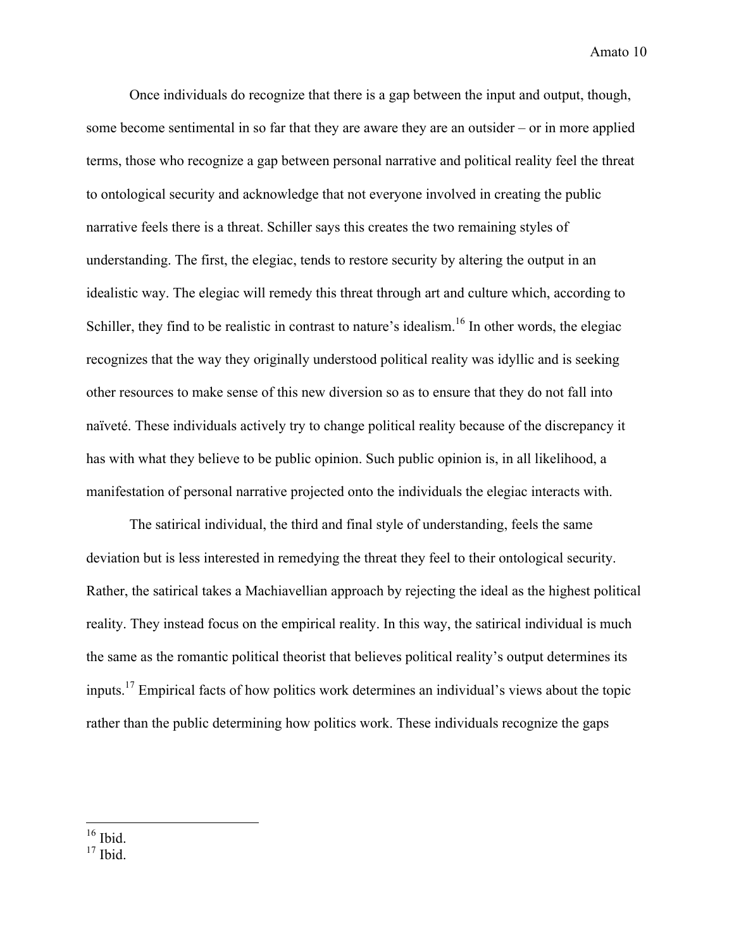Once individuals do recognize that there is a gap between the input and output, though, some become sentimental in so far that they are aware they are an outsider – or in more applied terms, those who recognize a gap between personal narrative and political reality feel the threat to ontological security and acknowledge that not everyone involved in creating the public narrative feels there is a threat. Schiller says this creates the two remaining styles of understanding. The first, the elegiac, tends to restore security by altering the output in an idealistic way. The elegiac will remedy this threat through art and culture which, according to Schiller, they find to be realistic in contrast to nature's idealism.<sup>16</sup> In other words, the elegiac recognizes that the way they originally understood political reality was idyllic and is seeking other resources to make sense of this new diversion so as to ensure that they do not fall into naïveté. These individuals actively try to change political reality because of the discrepancy it has with what they believe to be public opinion. Such public opinion is, in all likelihood, a manifestation of personal narrative projected onto the individuals the elegiac interacts with.

The satirical individual, the third and final style of understanding, feels the same deviation but is less interested in remedying the threat they feel to their ontological security. Rather, the satirical takes a Machiavellian approach by rejecting the ideal as the highest political reality. They instead focus on the empirical reality. In this way, the satirical individual is much the same as the romantic political theorist that believes political reality's output determines its inputs.<sup>17</sup> Empirical facts of how politics work determines an individual's views about the topic rather than the public determining how politics work. These individuals recognize the gaps

 $16$  Ibid.

 $17$  Ibid.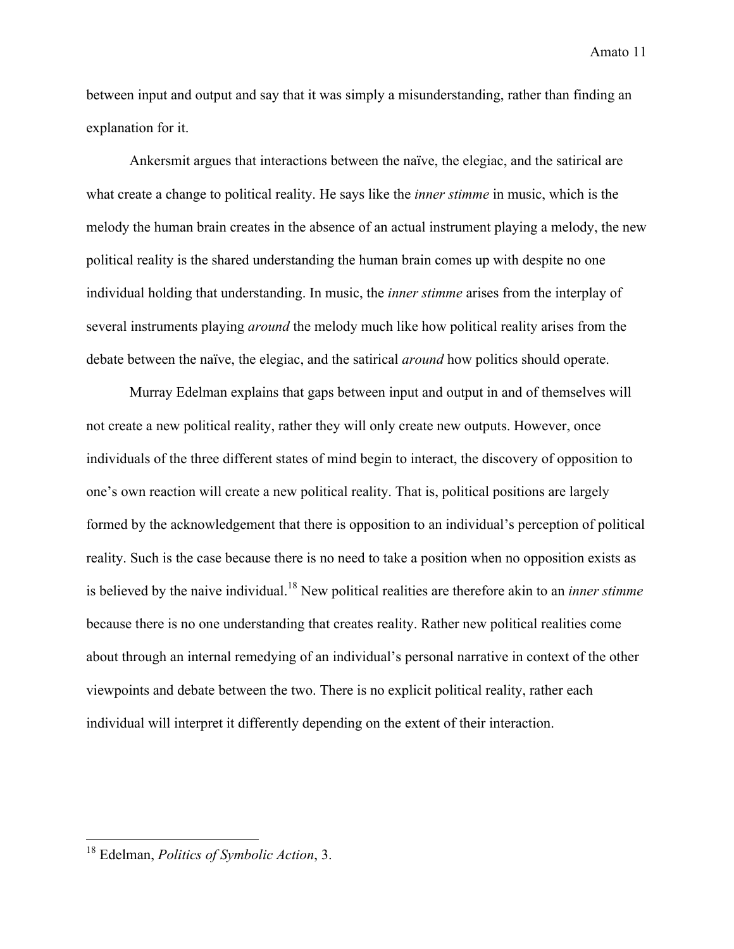between input and output and say that it was simply a misunderstanding, rather than finding an explanation for it.

Ankersmit argues that interactions between the naïve, the elegiac, and the satirical are what create a change to political reality. He says like the *inner stimme* in music, which is the melody the human brain creates in the absence of an actual instrument playing a melody, the new political reality is the shared understanding the human brain comes up with despite no one individual holding that understanding. In music, the *inner stimme* arises from the interplay of several instruments playing *around* the melody much like how political reality arises from the debate between the naïve, the elegiac, and the satirical *around* how politics should operate.

Murray Edelman explains that gaps between input and output in and of themselves will not create a new political reality, rather they will only create new outputs. However, once individuals of the three different states of mind begin to interact, the discovery of opposition to one's own reaction will create a new political reality. That is, political positions are largely formed by the acknowledgement that there is opposition to an individual's perception of political reality. Such is the case because there is no need to take a position when no opposition exists as is believed by the naive individual.<sup>18</sup> New political realities are therefore akin to an *inner stimme* because there is no one understanding that creates reality. Rather new political realities come about through an internal remedying of an individual's personal narrative in context of the other viewpoints and debate between the two. There is no explicit political reality, rather each individual will interpret it differently depending on the extent of their interaction.

 <sup>18</sup> Edelman, *Politics of Symbolic Action*, 3.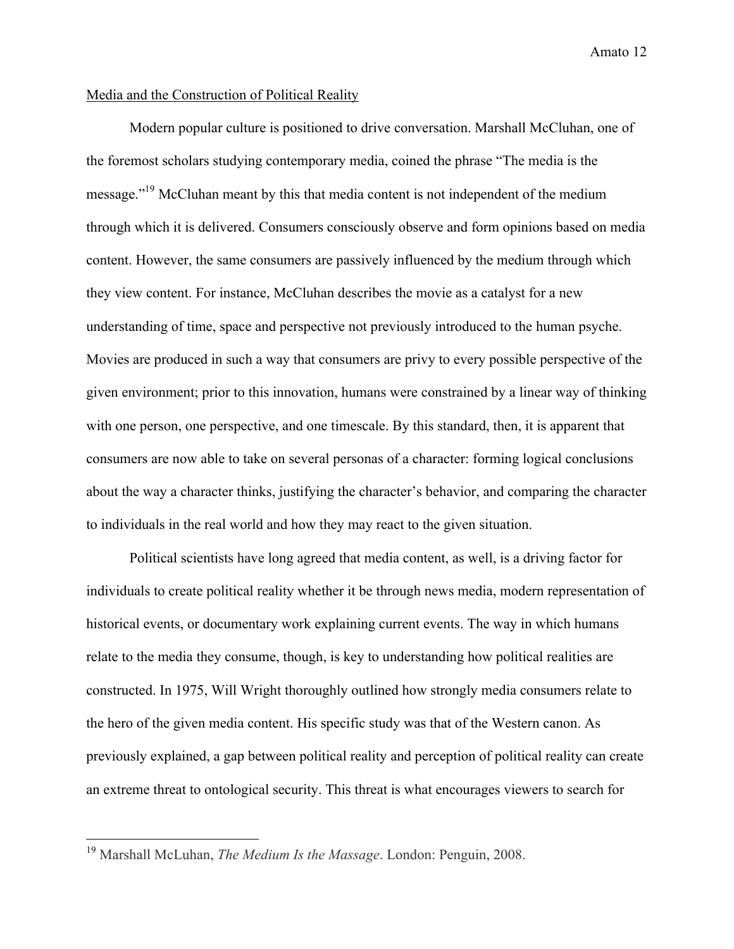#### Media and the Construction of Political Reality

Modern popular culture is positioned to drive conversation. Marshall McCluhan, one of the foremost scholars studying contemporary media, coined the phrase "The media is the message."19 McCluhan meant by this that media content is not independent of the medium through which it is delivered. Consumers consciously observe and form opinions based on media content. However, the same consumers are passively influenced by the medium through which they view content. For instance, McCluhan describes the movie as a catalyst for a new understanding of time, space and perspective not previously introduced to the human psyche. Movies are produced in such a way that consumers are privy to every possible perspective of the given environment; prior to this innovation, humans were constrained by a linear way of thinking with one person, one perspective, and one timescale. By this standard, then, it is apparent that consumers are now able to take on several personas of a character: forming logical conclusions about the way a character thinks, justifying the character's behavior, and comparing the character to individuals in the real world and how they may react to the given situation.

Political scientists have long agreed that media content, as well, is a driving factor for individuals to create political reality whether it be through news media, modern representation of historical events, or documentary work explaining current events. The way in which humans relate to the media they consume, though, is key to understanding how political realities are constructed. In 1975, Will Wright thoroughly outlined how strongly media consumers relate to the hero of the given media content. His specific study was that of the Western canon. As previously explained, a gap between political reality and perception of political reality can create an extreme threat to ontological security. This threat is what encourages viewers to search for

 <sup>19</sup> Marshall McLuhan, *The Medium Is the Massage*. London: Penguin, 2008.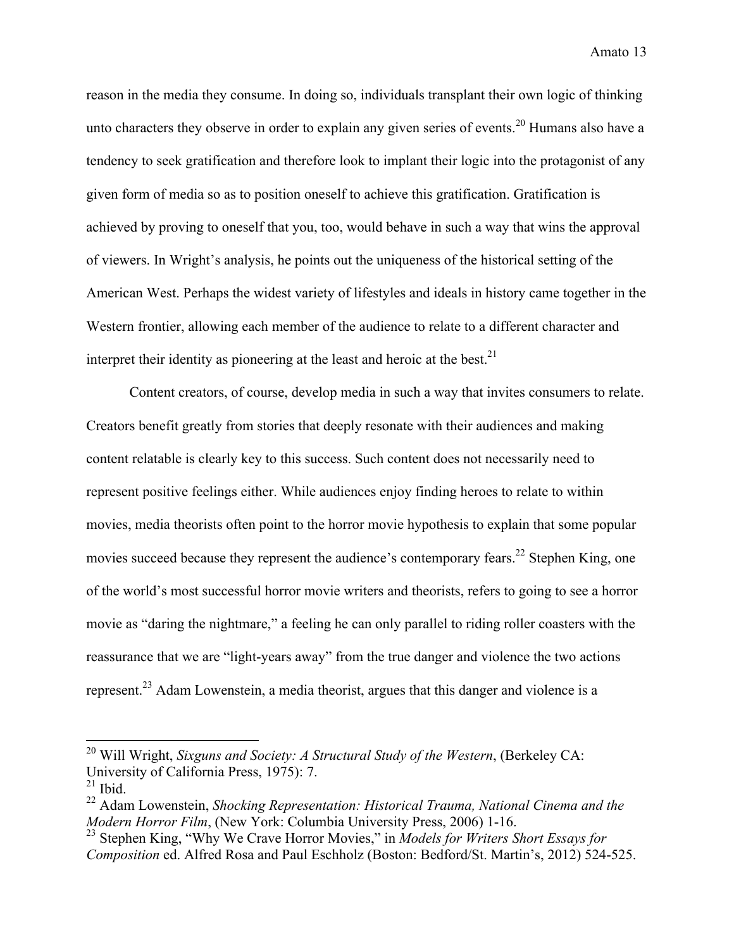reason in the media they consume. In doing so, individuals transplant their own logic of thinking unto characters they observe in order to explain any given series of events.<sup>20</sup> Humans also have a tendency to seek gratification and therefore look to implant their logic into the protagonist of any given form of media so as to position oneself to achieve this gratification. Gratification is achieved by proving to oneself that you, too, would behave in such a way that wins the approval of viewers. In Wright's analysis, he points out the uniqueness of the historical setting of the American West. Perhaps the widest variety of lifestyles and ideals in history came together in the Western frontier, allowing each member of the audience to relate to a different character and interpret their identity as pioneering at the least and heroic at the best.<sup>21</sup>

Content creators, of course, develop media in such a way that invites consumers to relate. Creators benefit greatly from stories that deeply resonate with their audiences and making content relatable is clearly key to this success. Such content does not necessarily need to represent positive feelings either. While audiences enjoy finding heroes to relate to within movies, media theorists often point to the horror movie hypothesis to explain that some popular movies succeed because they represent the audience's contemporary fears.<sup>22</sup> Stephen King, one of the world's most successful horror movie writers and theorists, refers to going to see a horror movie as "daring the nightmare," a feeling he can only parallel to riding roller coasters with the reassurance that we are "light-years away" from the true danger and violence the two actions represent.<sup>23</sup> Adam Lowenstein, a media theorist, argues that this danger and violence is a

<sup>&</sup>lt;sup>20</sup> Will Wright, *Sixguns and Society: A Structural Study of the Western*, (Berkeley CA: University of California Press, 1975): 7.

 $21$  Ibid.

<sup>22</sup> Adam Lowenstein, *Shocking Representation: Historical Trauma, National Cinema and the Modern Horror Film*, (New York: Columbia University Press, 2006) 1-16.

<sup>23</sup> Stephen King, "Why We Crave Horror Movies," in *Models for Writers Short Essays for Composition* ed. Alfred Rosa and Paul Eschholz (Boston: Bedford/St. Martin's, 2012) 524-525.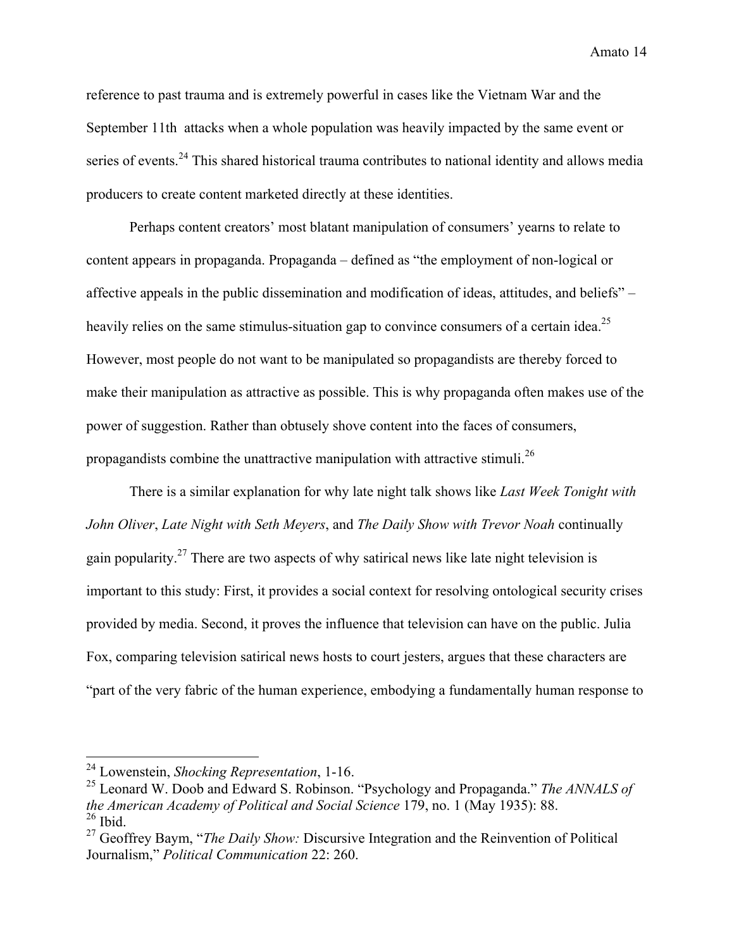reference to past trauma and is extremely powerful in cases like the Vietnam War and the September 11th attacks when a whole population was heavily impacted by the same event or series of events.<sup>24</sup> This shared historical trauma contributes to national identity and allows media producers to create content marketed directly at these identities.

Perhaps content creators' most blatant manipulation of consumers' yearns to relate to content appears in propaganda. Propaganda – defined as "the employment of non-logical or affective appeals in the public dissemination and modification of ideas, attitudes, and beliefs" – heavily relies on the same stimulus-situation gap to convince consumers of a certain idea.<sup>25</sup> However, most people do not want to be manipulated so propagandists are thereby forced to make their manipulation as attractive as possible. This is why propaganda often makes use of the power of suggestion. Rather than obtusely shove content into the faces of consumers, propagandists combine the unattractive manipulation with attractive stimuli.<sup>26</sup>

There is a similar explanation for why late night talk shows like *Last Week Tonight with John Oliver*, *Late Night with Seth Meyers*, and *The Daily Show with Trevor Noah* continually gain popularity.<sup>27</sup> There are two aspects of why satirical news like late night television is important to this study: First, it provides a social context for resolving ontological security crises provided by media. Second, it proves the influence that television can have on the public. Julia Fox, comparing television satirical news hosts to court jesters, argues that these characters are "part of the very fabric of the human experience, embodying a fundamentally human response to

 <sup>24</sup> Lowenstein, *Shocking Representation*, 1-16.

<sup>25</sup> Leonard W. Doob and Edward S. Robinson. "Psychology and Propaganda." *The ANNALS of the American Academy of Political and Social Science* 179, no. 1 (May 1935): 88.  $26$  Ibid.

<sup>27</sup> Geoffrey Baym, "*The Daily Show:* Discursive Integration and the Reinvention of Political Journalism," *Political Communication* 22: 260.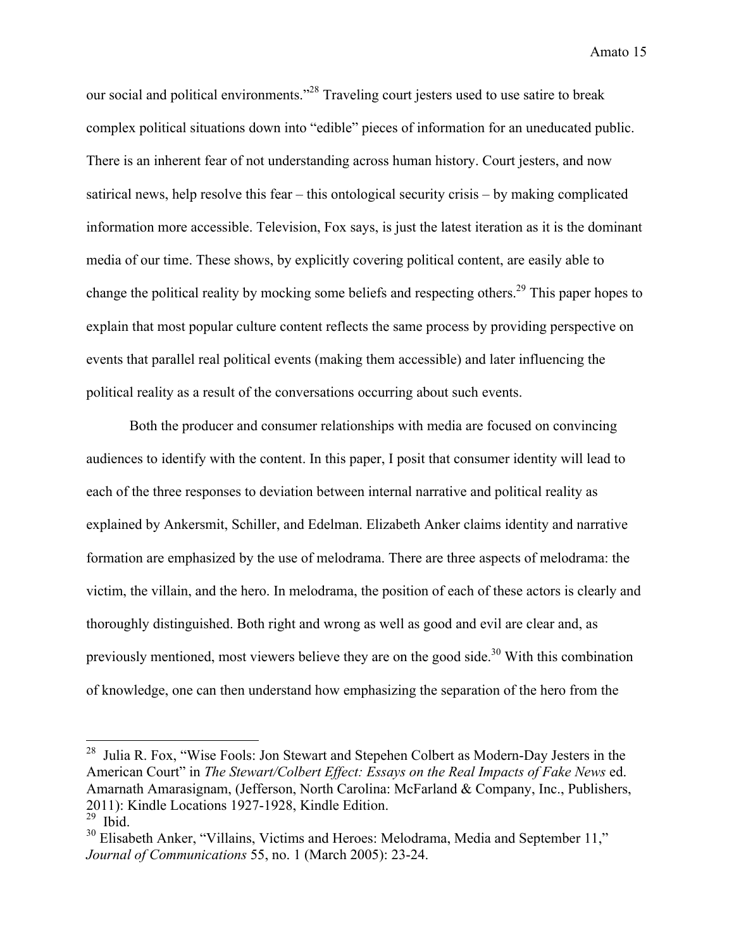our social and political environments."28 Traveling court jesters used to use satire to break complex political situations down into "edible" pieces of information for an uneducated public. There is an inherent fear of not understanding across human history. Court jesters, and now satirical news, help resolve this fear – this ontological security crisis – by making complicated information more accessible. Television, Fox says, is just the latest iteration as it is the dominant media of our time. These shows, by explicitly covering political content, are easily able to change the political reality by mocking some beliefs and respecting others.<sup>29</sup> This paper hopes to explain that most popular culture content reflects the same process by providing perspective on events that parallel real political events (making them accessible) and later influencing the political reality as a result of the conversations occurring about such events.

Both the producer and consumer relationships with media are focused on convincing audiences to identify with the content. In this paper, I posit that consumer identity will lead to each of the three responses to deviation between internal narrative and political reality as explained by Ankersmit, Schiller, and Edelman. Elizabeth Anker claims identity and narrative formation are emphasized by the use of melodrama. There are three aspects of melodrama: the victim, the villain, and the hero. In melodrama, the position of each of these actors is clearly and thoroughly distinguished. Both right and wrong as well as good and evil are clear and, as previously mentioned, most viewers believe they are on the good side.<sup>30</sup> With this combination of knowledge, one can then understand how emphasizing the separation of the hero from the

<sup>&</sup>lt;sup>28</sup> Julia R. Fox, "Wise Fools: Jon Stewart and Stepehen Colbert as Modern-Day Jesters in the American Court" in *The Stewart/Colbert Effect: Essays on the Real Impacts of Fake News* ed. Amarnath Amarasignam, (Jefferson, North Carolina: McFarland & Company, Inc., Publishers, 2011): Kindle Locations 1927-1928, Kindle Edition.

Ibid.

 $30$  Elisabeth Anker, "Villains, Victims and Heroes: Melodrama, Media and September 11," *Journal of Communications* 55, no. 1 (March 2005): 23-24.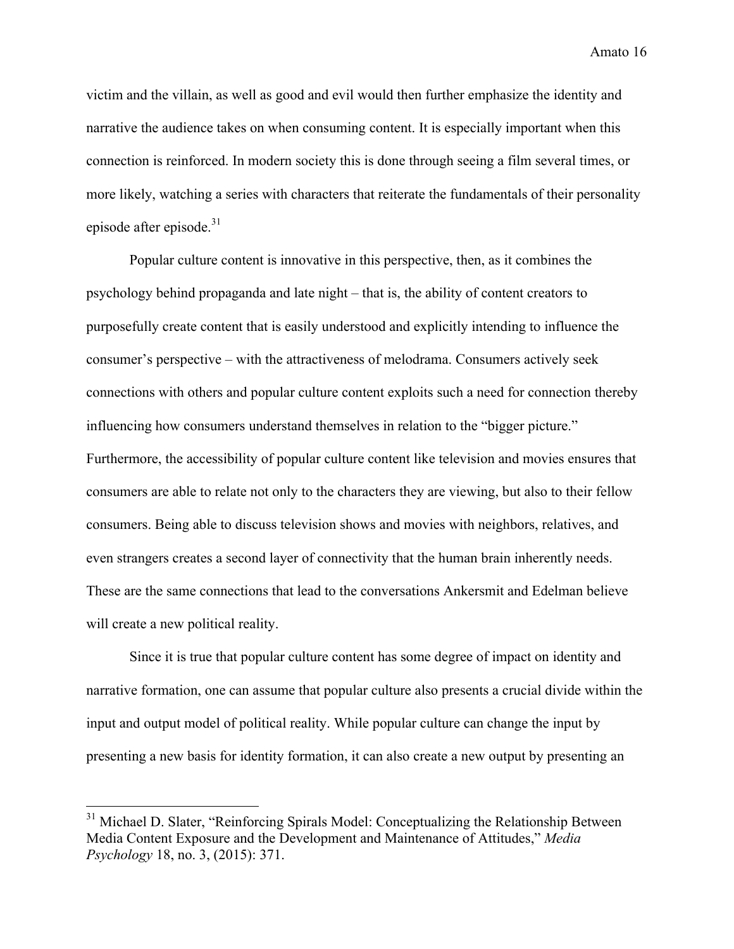victim and the villain, as well as good and evil would then further emphasize the identity and narrative the audience takes on when consuming content. It is especially important when this connection is reinforced. In modern society this is done through seeing a film several times, or more likely, watching a series with characters that reiterate the fundamentals of their personality episode after episode. $31$ 

Popular culture content is innovative in this perspective, then, as it combines the psychology behind propaganda and late night – that is, the ability of content creators to purposefully create content that is easily understood and explicitly intending to influence the consumer's perspective – with the attractiveness of melodrama. Consumers actively seek connections with others and popular culture content exploits such a need for connection thereby influencing how consumers understand themselves in relation to the "bigger picture." Furthermore, the accessibility of popular culture content like television and movies ensures that consumers are able to relate not only to the characters they are viewing, but also to their fellow consumers. Being able to discuss television shows and movies with neighbors, relatives, and even strangers creates a second layer of connectivity that the human brain inherently needs. These are the same connections that lead to the conversations Ankersmit and Edelman believe will create a new political reality.

Since it is true that popular culture content has some degree of impact on identity and narrative formation, one can assume that popular culture also presents a crucial divide within the input and output model of political reality. While popular culture can change the input by presenting a new basis for identity formation, it can also create a new output by presenting an

<sup>&</sup>lt;sup>31</sup> Michael D. Slater, "Reinforcing Spirals Model: Conceptualizing the Relationship Between Media Content Exposure and the Development and Maintenance of Attitudes," *Media Psychology* 18, no. 3, (2015): 371.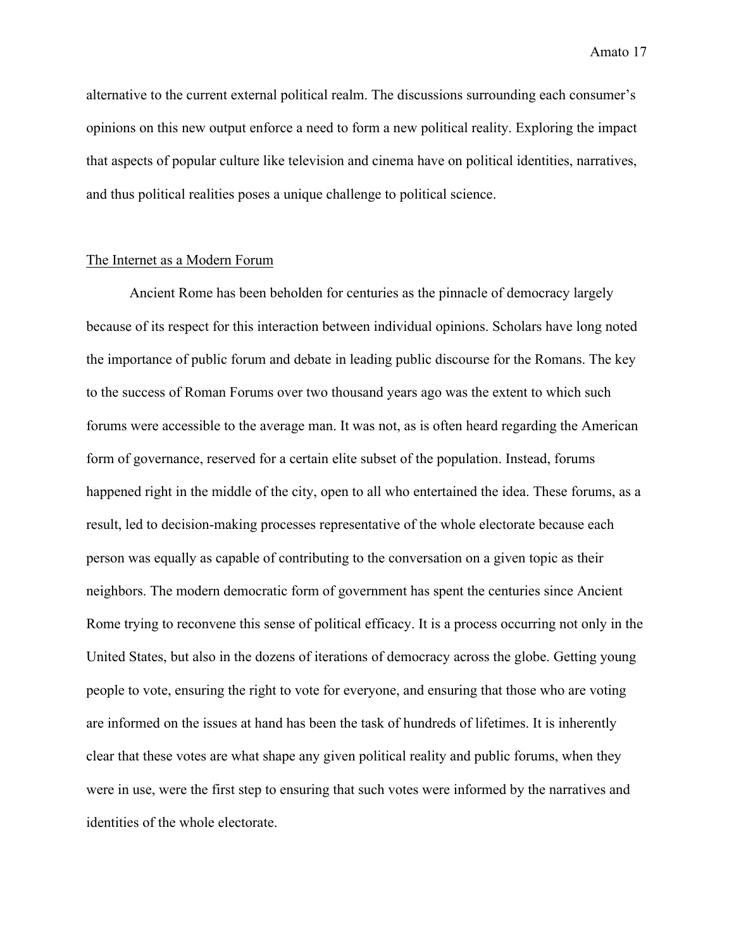alternative to the current external political realm. The discussions surrounding each consumer's opinions on this new output enforce a need to form a new political reality. Exploring the impact that aspects of popular culture like television and cinema have on political identities, narratives, and thus political realities poses a unique challenge to political science.

#### The Internet as a Modern Forum

Ancient Rome has been beholden for centuries as the pinnacle of democracy largely because of its respect for this interaction between individual opinions. Scholars have long noted the importance of public forum and debate in leading public discourse for the Romans. The key to the success of Roman Forums over two thousand years ago was the extent to which such forums were accessible to the average man. It was not, as is often heard regarding the American form of governance, reserved for a certain elite subset of the population. Instead, forums happened right in the middle of the city, open to all who entertained the idea. These forums, as a result, led to decision-making processes representative of the whole electorate because each person was equally as capable of contributing to the conversation on a given topic as their neighbors. The modern democratic form of government has spent the centuries since Ancient Rome trying to reconvene this sense of political efficacy. It is a process occurring not only in the United States, but also in the dozens of iterations of democracy across the globe. Getting young people to vote, ensuring the right to vote for everyone, and ensuring that those who are voting are informed on the issues at hand has been the task of hundreds of lifetimes. It is inherently clear that these votes are what shape any given political reality and public forums, when they were in use, were the first step to ensuring that such votes were informed by the narratives and identities of the whole electorate.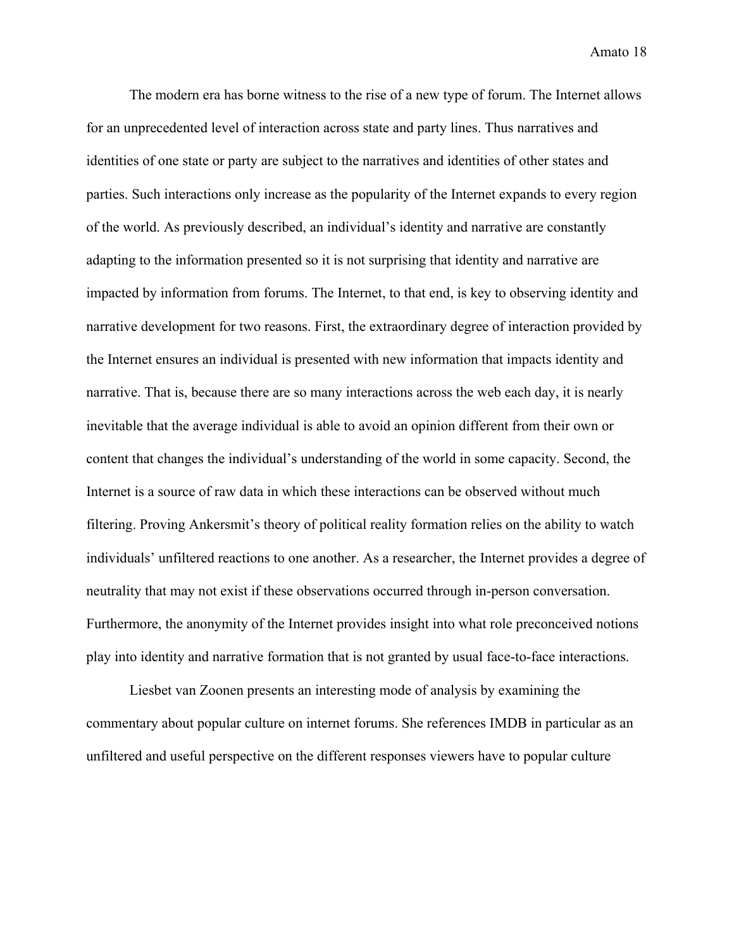The modern era has borne witness to the rise of a new type of forum. The Internet allows for an unprecedented level of interaction across state and party lines. Thus narratives and identities of one state or party are subject to the narratives and identities of other states and parties. Such interactions only increase as the popularity of the Internet expands to every region of the world. As previously described, an individual's identity and narrative are constantly adapting to the information presented so it is not surprising that identity and narrative are impacted by information from forums. The Internet, to that end, is key to observing identity and narrative development for two reasons. First, the extraordinary degree of interaction provided by the Internet ensures an individual is presented with new information that impacts identity and narrative. That is, because there are so many interactions across the web each day, it is nearly inevitable that the average individual is able to avoid an opinion different from their own or content that changes the individual's understanding of the world in some capacity. Second, the Internet is a source of raw data in which these interactions can be observed without much filtering. Proving Ankersmit's theory of political reality formation relies on the ability to watch individuals' unfiltered reactions to one another. As a researcher, the Internet provides a degree of neutrality that may not exist if these observations occurred through in-person conversation. Furthermore, the anonymity of the Internet provides insight into what role preconceived notions play into identity and narrative formation that is not granted by usual face-to-face interactions.

Liesbet van Zoonen presents an interesting mode of analysis by examining the commentary about popular culture on internet forums. She references IMDB in particular as an unfiltered and useful perspective on the different responses viewers have to popular culture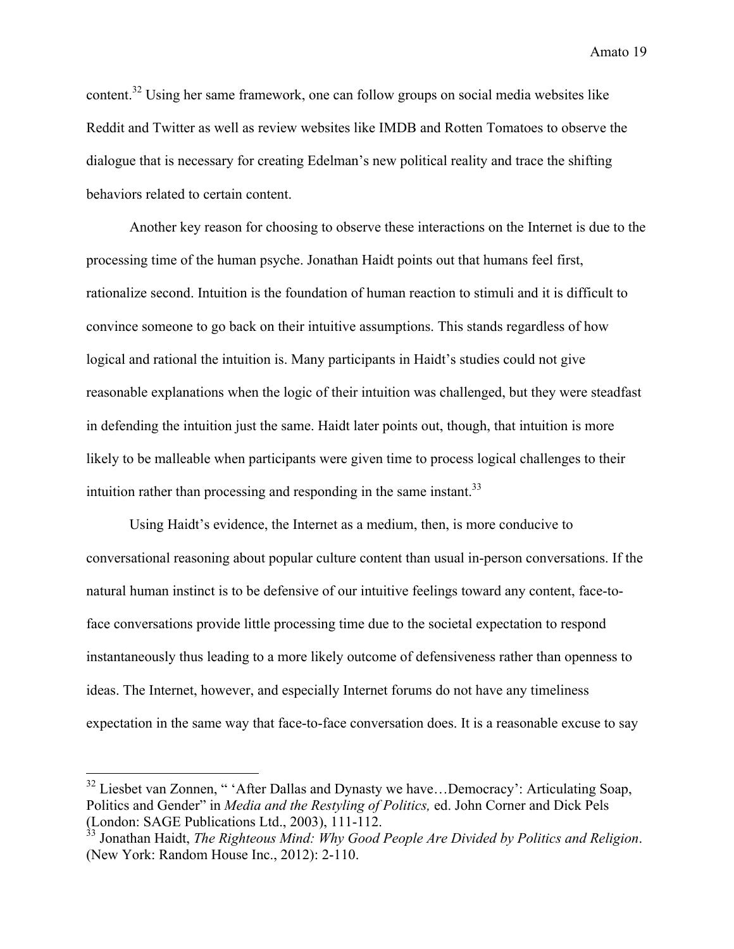content.<sup>32</sup> Using her same framework, one can follow groups on social media websites like Reddit and Twitter as well as review websites like IMDB and Rotten Tomatoes to observe the dialogue that is necessary for creating Edelman's new political reality and trace the shifting behaviors related to certain content.

Another key reason for choosing to observe these interactions on the Internet is due to the processing time of the human psyche. Jonathan Haidt points out that humans feel first, rationalize second. Intuition is the foundation of human reaction to stimuli and it is difficult to convince someone to go back on their intuitive assumptions. This stands regardless of how logical and rational the intuition is. Many participants in Haidt's studies could not give reasonable explanations when the logic of their intuition was challenged, but they were steadfast in defending the intuition just the same. Haidt later points out, though, that intuition is more likely to be malleable when participants were given time to process logical challenges to their intuition rather than processing and responding in the same instant. $33$ 

Using Haidt's evidence, the Internet as a medium, then, is more conducive to conversational reasoning about popular culture content than usual in-person conversations. If the natural human instinct is to be defensive of our intuitive feelings toward any content, face-toface conversations provide little processing time due to the societal expectation to respond instantaneously thus leading to a more likely outcome of defensiveness rather than openness to ideas. The Internet, however, and especially Internet forums do not have any timeliness expectation in the same way that face-to-face conversation does. It is a reasonable excuse to say

 $32$  Liesbet van Zonnen, " 'After Dallas and Dynasty we have...Democracy': Articulating Soap, Politics and Gender" in *Media and the Restyling of Politics,* ed. John Corner and Dick Pels (London: SAGE Publications Ltd., 2003), 111-112.

<sup>33</sup> Jonathan Haidt, *The Righteous Mind: Why Good People Are Divided by Politics and Religion*. (New York: Random House Inc., 2012): 2-110.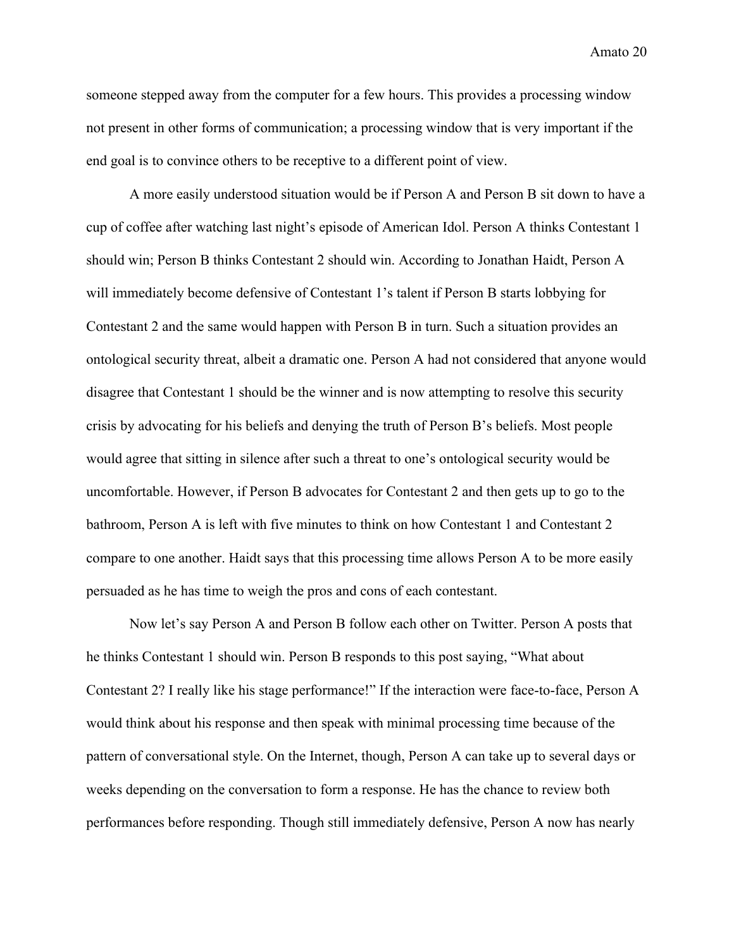someone stepped away from the computer for a few hours. This provides a processing window not present in other forms of communication; a processing window that is very important if the end goal is to convince others to be receptive to a different point of view.

A more easily understood situation would be if Person A and Person B sit down to have a cup of coffee after watching last night's episode of American Idol. Person A thinks Contestant 1 should win; Person B thinks Contestant 2 should win. According to Jonathan Haidt, Person A will immediately become defensive of Contestant 1's talent if Person B starts lobbying for Contestant 2 and the same would happen with Person B in turn. Such a situation provides an ontological security threat, albeit a dramatic one. Person A had not considered that anyone would disagree that Contestant 1 should be the winner and is now attempting to resolve this security crisis by advocating for his beliefs and denying the truth of Person B's beliefs. Most people would agree that sitting in silence after such a threat to one's ontological security would be uncomfortable. However, if Person B advocates for Contestant 2 and then gets up to go to the bathroom, Person A is left with five minutes to think on how Contestant 1 and Contestant 2 compare to one another. Haidt says that this processing time allows Person A to be more easily persuaded as he has time to weigh the pros and cons of each contestant.

Now let's say Person A and Person B follow each other on Twitter. Person A posts that he thinks Contestant 1 should win. Person B responds to this post saying, "What about Contestant 2? I really like his stage performance!" If the interaction were face-to-face, Person A would think about his response and then speak with minimal processing time because of the pattern of conversational style. On the Internet, though, Person A can take up to several days or weeks depending on the conversation to form a response. He has the chance to review both performances before responding. Though still immediately defensive, Person A now has nearly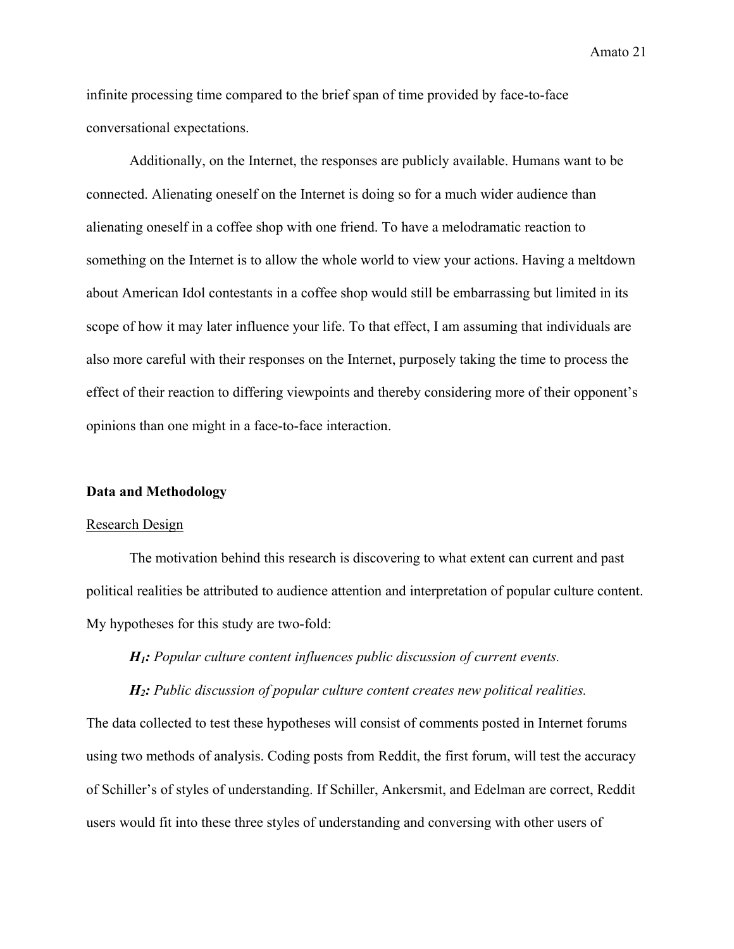infinite processing time compared to the brief span of time provided by face-to-face conversational expectations.

Additionally, on the Internet, the responses are publicly available. Humans want to be connected. Alienating oneself on the Internet is doing so for a much wider audience than alienating oneself in a coffee shop with one friend. To have a melodramatic reaction to something on the Internet is to allow the whole world to view your actions. Having a meltdown about American Idol contestants in a coffee shop would still be embarrassing but limited in its scope of how it may later influence your life. To that effect, I am assuming that individuals are also more careful with their responses on the Internet, purposely taking the time to process the effect of their reaction to differing viewpoints and thereby considering more of their opponent's opinions than one might in a face-to-face interaction.

#### **Data and Methodology**

#### Research Design

The motivation behind this research is discovering to what extent can current and past political realities be attributed to audience attention and interpretation of popular culture content. My hypotheses for this study are two-fold:

*H1: Popular culture content influences public discussion of current events.*

*H2: Public discussion of popular culture content creates new political realities.*

The data collected to test these hypotheses will consist of comments posted in Internet forums using two methods of analysis. Coding posts from Reddit, the first forum, will test the accuracy of Schiller's of styles of understanding. If Schiller, Ankersmit, and Edelman are correct, Reddit users would fit into these three styles of understanding and conversing with other users of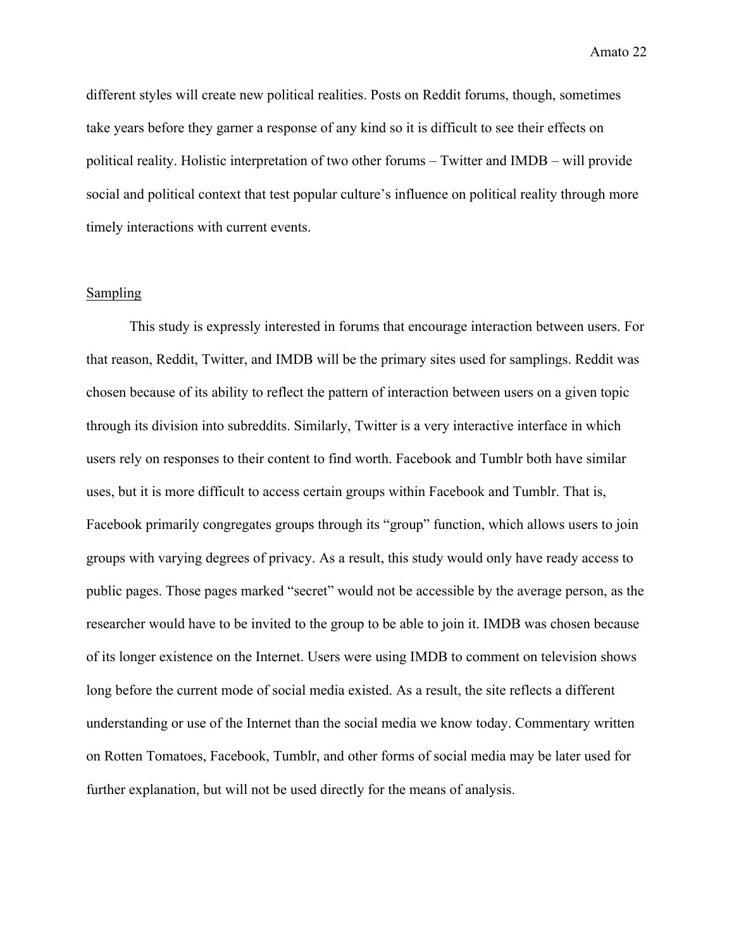different styles will create new political realities. Posts on Reddit forums, though, sometimes take years before they garner a response of any kind so it is difficult to see their effects on political reality. Holistic interpretation of two other forums – Twitter and IMDB – will provide social and political context that test popular culture's influence on political reality through more timely interactions with current events.

#### **Sampling**

This study is expressly interested in forums that encourage interaction between users. For that reason, Reddit, Twitter, and IMDB will be the primary sites used for samplings. Reddit was chosen because of its ability to reflect the pattern of interaction between users on a given topic through its division into subreddits. Similarly, Twitter is a very interactive interface in which users rely on responses to their content to find worth. Facebook and Tumblr both have similar uses, but it is more difficult to access certain groups within Facebook and Tumblr. That is, Facebook primarily congregates groups through its "group" function, which allows users to join groups with varying degrees of privacy. As a result, this study would only have ready access to public pages. Those pages marked "secret" would not be accessible by the average person, as the researcher would have to be invited to the group to be able to join it. IMDB was chosen because of its longer existence on the Internet. Users were using IMDB to comment on television shows long before the current mode of social media existed. As a result, the site reflects a different understanding or use of the Internet than the social media we know today. Commentary written on Rotten Tomatoes, Facebook, Tumblr, and other forms of social media may be later used for further explanation, but will not be used directly for the means of analysis.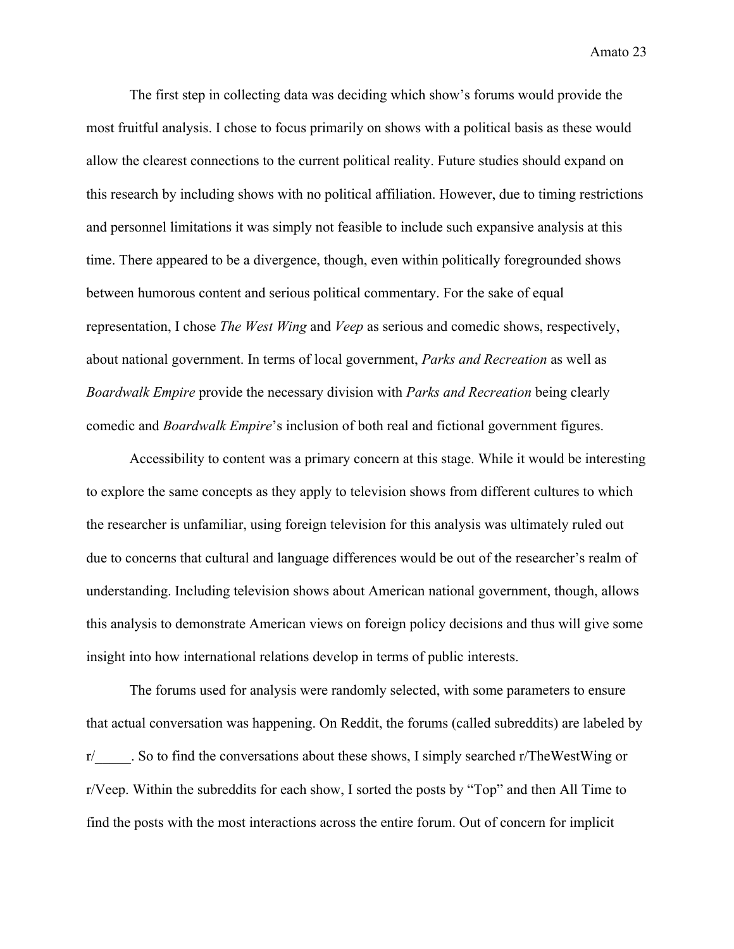The first step in collecting data was deciding which show's forums would provide the most fruitful analysis. I chose to focus primarily on shows with a political basis as these would allow the clearest connections to the current political reality. Future studies should expand on this research by including shows with no political affiliation. However, due to timing restrictions and personnel limitations it was simply not feasible to include such expansive analysis at this time. There appeared to be a divergence, though, even within politically foregrounded shows between humorous content and serious political commentary. For the sake of equal representation, I chose *The West Wing* and *Veep* as serious and comedic shows, respectively, about national government. In terms of local government, *Parks and Recreation* as well as *Boardwalk Empire* provide the necessary division with *Parks and Recreation* being clearly comedic and *Boardwalk Empire*'s inclusion of both real and fictional government figures.

Accessibility to content was a primary concern at this stage. While it would be interesting to explore the same concepts as they apply to television shows from different cultures to which the researcher is unfamiliar, using foreign television for this analysis was ultimately ruled out due to concerns that cultural and language differences would be out of the researcher's realm of understanding. Including television shows about American national government, though, allows this analysis to demonstrate American views on foreign policy decisions and thus will give some insight into how international relations develop in terms of public interests.

The forums used for analysis were randomly selected, with some parameters to ensure that actual conversation was happening. On Reddit, the forums (called subreddits) are labeled by r/\_\_\_\_\_. So to find the conversations about these shows, I simply searched r/TheWestWing or r/Veep. Within the subreddits for each show, I sorted the posts by "Top" and then All Time to find the posts with the most interactions across the entire forum. Out of concern for implicit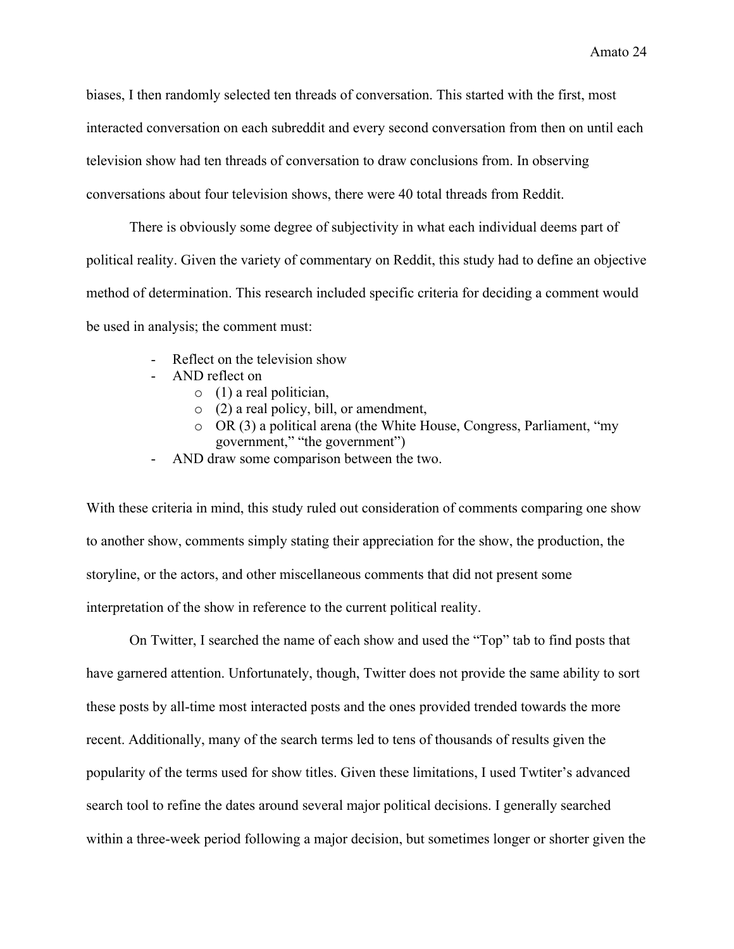biases, I then randomly selected ten threads of conversation. This started with the first, most interacted conversation on each subreddit and every second conversation from then on until each television show had ten threads of conversation to draw conclusions from. In observing conversations about four television shows, there were 40 total threads from Reddit.

There is obviously some degree of subjectivity in what each individual deems part of political reality. Given the variety of commentary on Reddit, this study had to define an objective method of determination. This research included specific criteria for deciding a comment would be used in analysis; the comment must:

- Reflect on the television show
- AND reflect on
	- $\circ$  (1) a real politician,
	- o (2) a real policy, bill, or amendment,
	- o OR (3) a political arena (the White House, Congress, Parliament, "my government," "the government")
- AND draw some comparison between the two.

With these criteria in mind, this study ruled out consideration of comments comparing one show to another show, comments simply stating their appreciation for the show, the production, the storyline, or the actors, and other miscellaneous comments that did not present some interpretation of the show in reference to the current political reality.

On Twitter, I searched the name of each show and used the "Top" tab to find posts that have garnered attention. Unfortunately, though, Twitter does not provide the same ability to sort these posts by all-time most interacted posts and the ones provided trended towards the more recent. Additionally, many of the search terms led to tens of thousands of results given the popularity of the terms used for show titles. Given these limitations, I used Twtiter's advanced search tool to refine the dates around several major political decisions. I generally searched within a three-week period following a major decision, but sometimes longer or shorter given the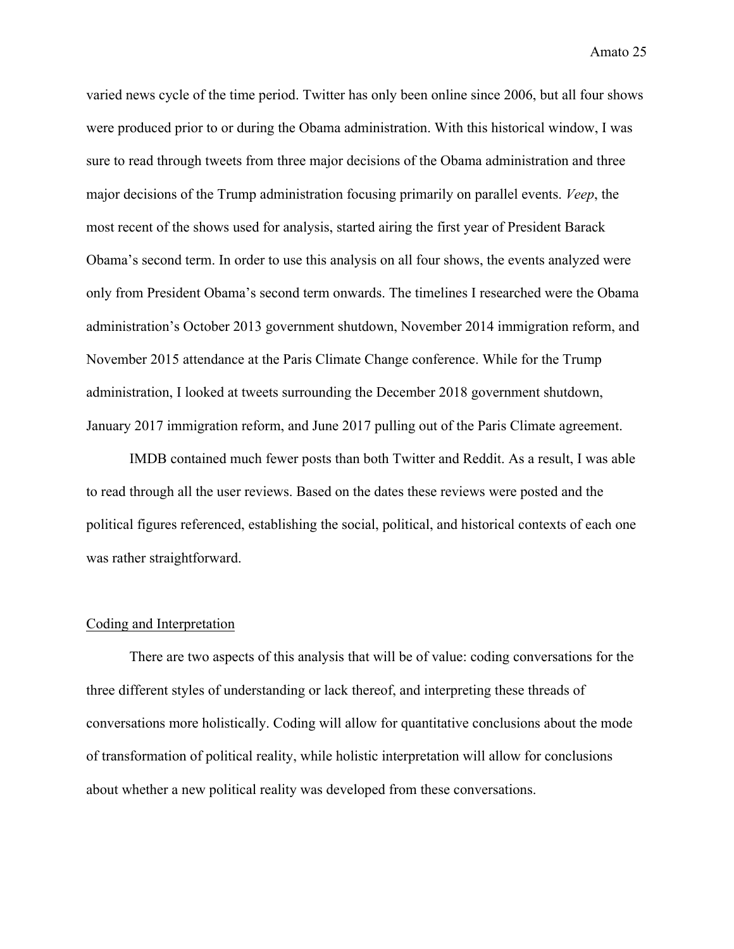varied news cycle of the time period. Twitter has only been online since 2006, but all four shows were produced prior to or during the Obama administration. With this historical window, I was sure to read through tweets from three major decisions of the Obama administration and three major decisions of the Trump administration focusing primarily on parallel events. *Veep*, the most recent of the shows used for analysis, started airing the first year of President Barack Obama's second term. In order to use this analysis on all four shows, the events analyzed were only from President Obama's second term onwards. The timelines I researched were the Obama administration's October 2013 government shutdown, November 2014 immigration reform, and November 2015 attendance at the Paris Climate Change conference. While for the Trump administration, I looked at tweets surrounding the December 2018 government shutdown, January 2017 immigration reform, and June 2017 pulling out of the Paris Climate agreement.

IMDB contained much fewer posts than both Twitter and Reddit. As a result, I was able to read through all the user reviews. Based on the dates these reviews were posted and the political figures referenced, establishing the social, political, and historical contexts of each one was rather straightforward.

#### Coding and Interpretation

There are two aspects of this analysis that will be of value: coding conversations for the three different styles of understanding or lack thereof, and interpreting these threads of conversations more holistically. Coding will allow for quantitative conclusions about the mode of transformation of political reality, while holistic interpretation will allow for conclusions about whether a new political reality was developed from these conversations.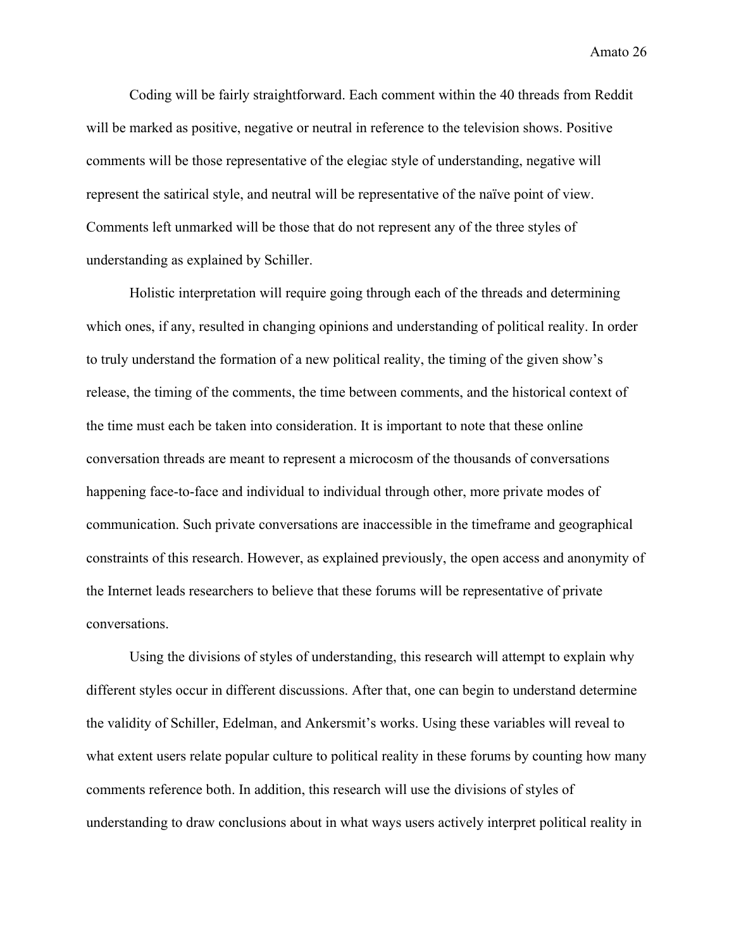Coding will be fairly straightforward. Each comment within the 40 threads from Reddit will be marked as positive, negative or neutral in reference to the television shows. Positive comments will be those representative of the elegiac style of understanding, negative will represent the satirical style, and neutral will be representative of the naïve point of view. Comments left unmarked will be those that do not represent any of the three styles of understanding as explained by Schiller.

Holistic interpretation will require going through each of the threads and determining which ones, if any, resulted in changing opinions and understanding of political reality. In order to truly understand the formation of a new political reality, the timing of the given show's release, the timing of the comments, the time between comments, and the historical context of the time must each be taken into consideration. It is important to note that these online conversation threads are meant to represent a microcosm of the thousands of conversations happening face-to-face and individual to individual through other, more private modes of communication. Such private conversations are inaccessible in the timeframe and geographical constraints of this research. However, as explained previously, the open access and anonymity of the Internet leads researchers to believe that these forums will be representative of private conversations.

Using the divisions of styles of understanding, this research will attempt to explain why different styles occur in different discussions. After that, one can begin to understand determine the validity of Schiller, Edelman, and Ankersmit's works. Using these variables will reveal to what extent users relate popular culture to political reality in these forums by counting how many comments reference both. In addition, this research will use the divisions of styles of understanding to draw conclusions about in what ways users actively interpret political reality in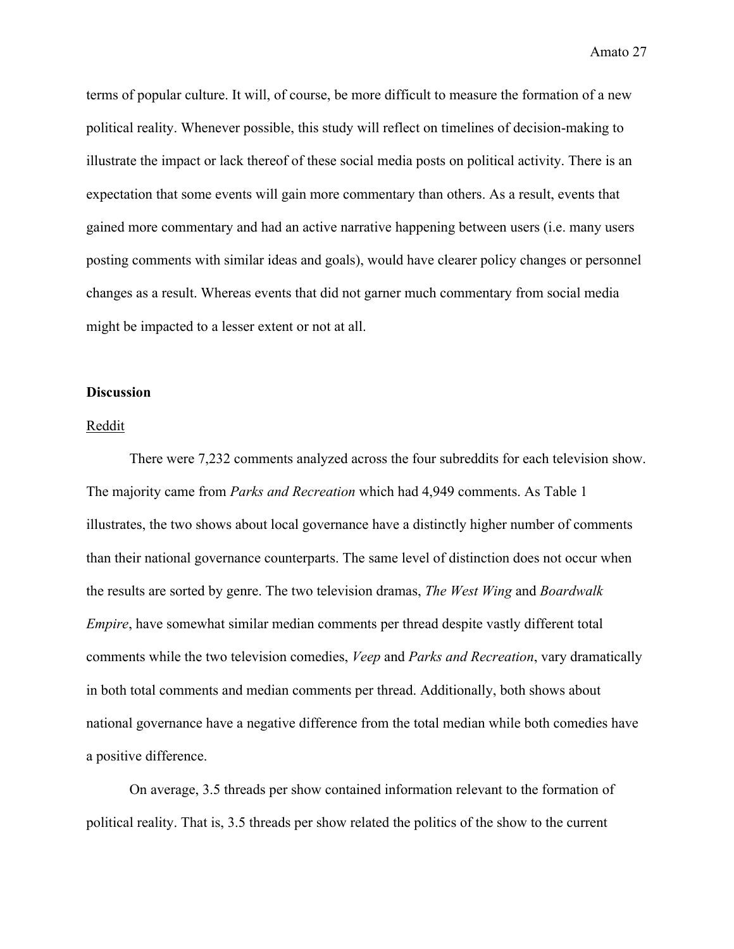terms of popular culture. It will, of course, be more difficult to measure the formation of a new political reality. Whenever possible, this study will reflect on timelines of decision-making to illustrate the impact or lack thereof of these social media posts on political activity. There is an expectation that some events will gain more commentary than others. As a result, events that gained more commentary and had an active narrative happening between users (i.e. many users posting comments with similar ideas and goals), would have clearer policy changes or personnel changes as a result. Whereas events that did not garner much commentary from social media might be impacted to a lesser extent or not at all.

#### **Discussion**

#### Reddit

There were 7,232 comments analyzed across the four subreddits for each television show. The majority came from *Parks and Recreation* which had 4,949 comments. As Table 1 illustrates, the two shows about local governance have a distinctly higher number of comments than their national governance counterparts. The same level of distinction does not occur when the results are sorted by genre. The two television dramas, *The West Wing* and *Boardwalk Empire*, have somewhat similar median comments per thread despite vastly different total comments while the two television comedies, *Veep* and *Parks and Recreation*, vary dramatically in both total comments and median comments per thread. Additionally, both shows about national governance have a negative difference from the total median while both comedies have a positive difference.

On average, 3.5 threads per show contained information relevant to the formation of political reality. That is, 3.5 threads per show related the politics of the show to the current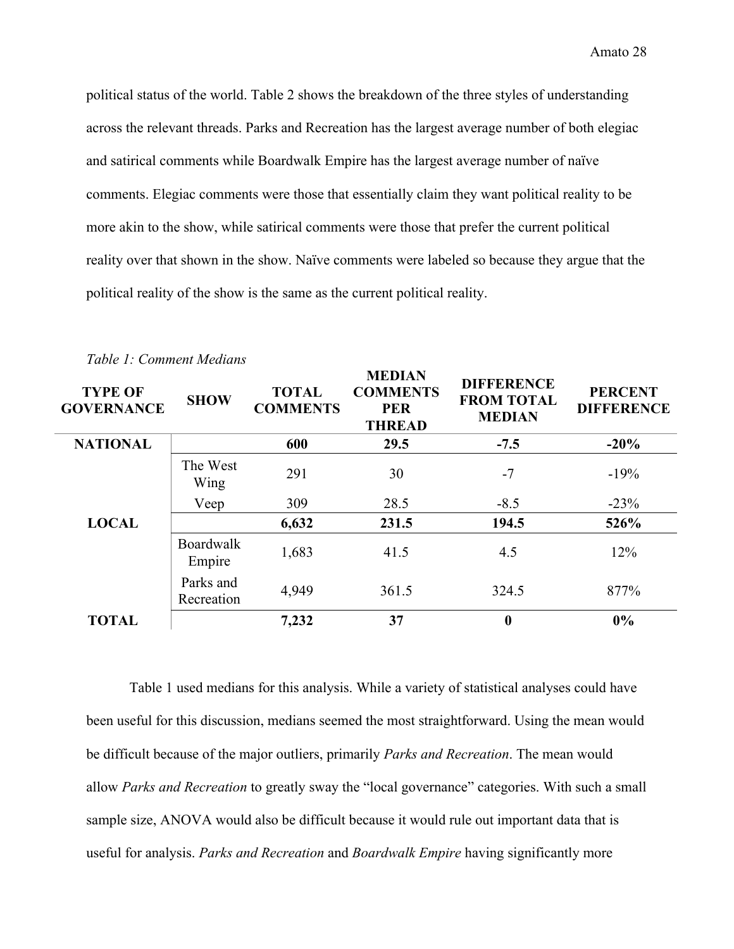political status of the world. Table 2 shows the breakdown of the three styles of understanding across the relevant threads. Parks and Recreation has the largest average number of both elegiac and satirical comments while Boardwalk Empire has the largest average number of naïve comments. Elegiac comments were those that essentially claim they want political reality to be more akin to the show, while satirical comments were those that prefer the current political reality over that shown in the show. Naïve comments were labeled so because they argue that the political reality of the show is the same as the current political reality.

| <b>TYPE OF</b><br><b>GOVERNANCE</b> | <b>SHOW</b>                | <b>TOTAL</b><br><b>COMMENTS</b> | <b>MEDIAN</b><br><b>COMMENTS</b><br><b>PER</b><br><b>THREAD</b> | <b>DIFFERENCE</b><br><b>FROM TOTAL</b><br><b>MEDIAN</b> | <b>PERCENT</b><br><b>DIFFERENCE</b> |
|-------------------------------------|----------------------------|---------------------------------|-----------------------------------------------------------------|---------------------------------------------------------|-------------------------------------|
| <b>NATIONAL</b>                     |                            | 600                             | 29.5                                                            | $-7.5$                                                  | $-20%$                              |
| <b>LOCAL</b>                        | The West<br>Wing           | 291                             | 30                                                              | $-7$                                                    | $-19%$                              |
|                                     | Veep                       | 309                             | 28.5                                                            | $-8.5$                                                  | $-23%$                              |
|                                     |                            | 6,632                           | 231.5                                                           | 194.5                                                   | 526%                                |
|                                     | <b>Boardwalk</b><br>Empire | 1,683                           | 41.5                                                            | 4.5                                                     | 12%                                 |
|                                     | Parks and<br>Recreation    | 4,949                           | 361.5                                                           | 324.5                                                   | 877%                                |
| <b>TOTAL</b>                        |                            | 7,232                           | 37                                                              | $\bf{0}$                                                | $0\%$                               |

*Table 1: Comment Medians*

Table 1 used medians for this analysis. While a variety of statistical analyses could have been useful for this discussion, medians seemed the most straightforward. Using the mean would be difficult because of the major outliers, primarily *Parks and Recreation*. The mean would allow *Parks and Recreation* to greatly sway the "local governance" categories. With such a small sample size, ANOVA would also be difficult because it would rule out important data that is useful for analysis. *Parks and Recreation* and *Boardwalk Empire* having significantly more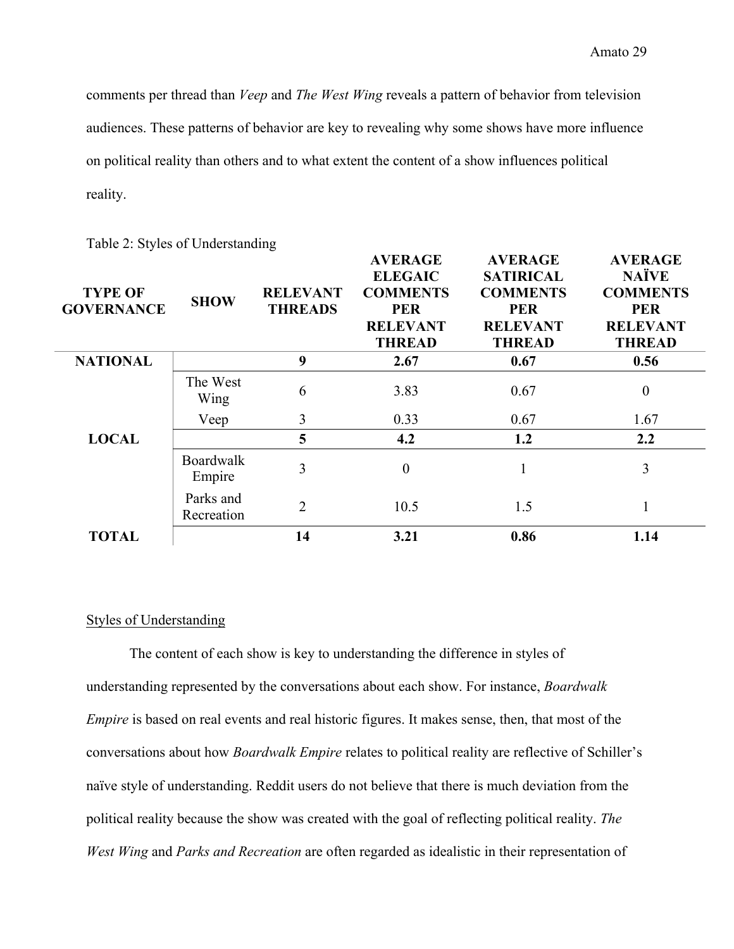comments per thread than *Veep* and *The West Wing* reveals a pattern of behavior from television audiences. These patterns of behavior are key to revealing why some shows have more influence on political reality than others and to what extent the content of a show influences political reality.

| <b>TYPE OF</b><br><b>GOVERNANCE</b> | <b>SHOW</b>                | <b>RELEVANT</b><br><b>THREADS</b> | <b>AVERAGE</b><br><b>ELEGAIC</b><br><b>COMMENTS</b><br><b>PER</b><br><b>RELEVANT</b><br><b>THREAD</b> | <b>AVERAGE</b><br><b>SATIRICAL</b><br><b>COMMENTS</b><br><b>PER</b><br><b>RELEVANT</b><br><b>THREAD</b> | <b>AVERAGE</b><br><b>NAÏVE</b><br><b>COMMENTS</b><br><b>PER</b><br><b>RELEVANT</b><br><b>THREAD</b> |
|-------------------------------------|----------------------------|-----------------------------------|-------------------------------------------------------------------------------------------------------|---------------------------------------------------------------------------------------------------------|-----------------------------------------------------------------------------------------------------|
| <b>NATIONAL</b>                     |                            | 9                                 | 2.67                                                                                                  | 0.67                                                                                                    | 0.56                                                                                                |
|                                     | The West<br>Wing           | 6                                 | 3.83                                                                                                  | 0.67                                                                                                    | $\boldsymbol{0}$                                                                                    |
| <b>LOCAL</b>                        | Veep                       | 3                                 | 0.33                                                                                                  | 0.67                                                                                                    | 1.67                                                                                                |
|                                     |                            | 5                                 | 4.2                                                                                                   | 1.2                                                                                                     | 2.2                                                                                                 |
|                                     | <b>Boardwalk</b><br>Empire | 3                                 | $\boldsymbol{0}$                                                                                      |                                                                                                         | 3                                                                                                   |
|                                     | Parks and<br>Recreation    | $\overline{2}$                    | 10.5                                                                                                  | 1.5                                                                                                     |                                                                                                     |
| <b>TOTAL</b>                        |                            | 14                                | 3.21                                                                                                  | 0.86                                                                                                    | 1.14                                                                                                |

Table 2: Styles of Understanding

#### Styles of Understanding

The content of each show is key to understanding the difference in styles of understanding represented by the conversations about each show. For instance, *Boardwalk Empire* is based on real events and real historic figures. It makes sense, then, that most of the conversations about how *Boardwalk Empire* relates to political reality are reflective of Schiller's naïve style of understanding. Reddit users do not believe that there is much deviation from the political reality because the show was created with the goal of reflecting political reality. *The West Wing* and *Parks and Recreation* are often regarded as idealistic in their representation of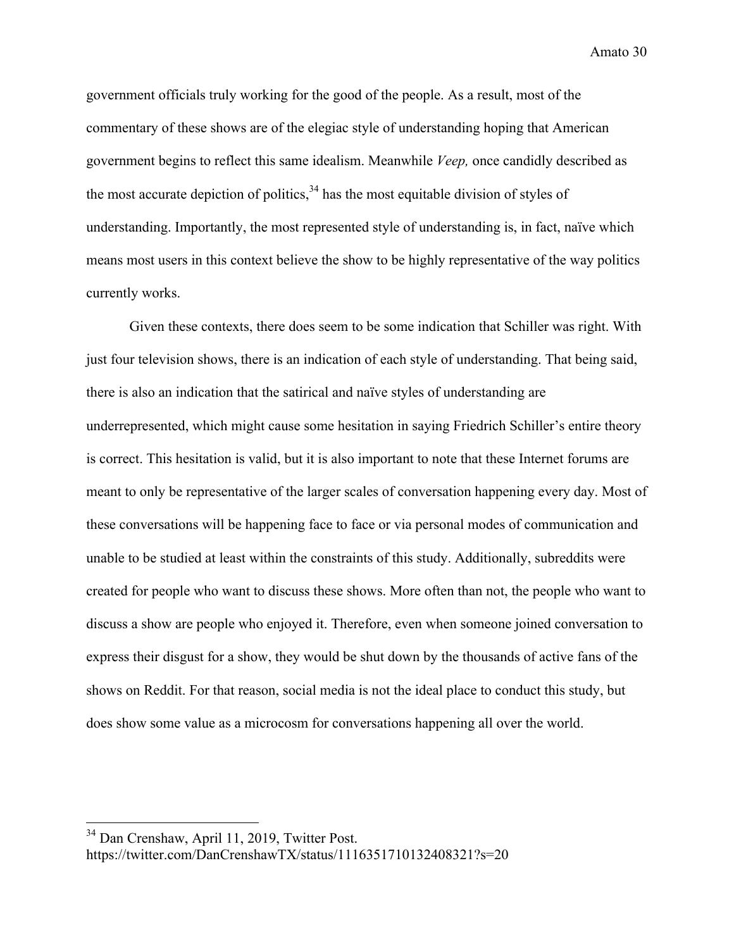government officials truly working for the good of the people. As a result, most of the commentary of these shows are of the elegiac style of understanding hoping that American government begins to reflect this same idealism. Meanwhile *Veep,* once candidly described as the most accurate depiction of politics,  $34$  has the most equitable division of styles of understanding. Importantly, the most represented style of understanding is, in fact, naïve which means most users in this context believe the show to be highly representative of the way politics currently works.

Given these contexts, there does seem to be some indication that Schiller was right. With just four television shows, there is an indication of each style of understanding. That being said, there is also an indication that the satirical and naïve styles of understanding are underrepresented, which might cause some hesitation in saying Friedrich Schiller's entire theory is correct. This hesitation is valid, but it is also important to note that these Internet forums are meant to only be representative of the larger scales of conversation happening every day. Most of these conversations will be happening face to face or via personal modes of communication and unable to be studied at least within the constraints of this study. Additionally, subreddits were created for people who want to discuss these shows. More often than not, the people who want to discuss a show are people who enjoyed it. Therefore, even when someone joined conversation to express their disgust for a show, they would be shut down by the thousands of active fans of the shows on Reddit. For that reason, social media is not the ideal place to conduct this study, but does show some value as a microcosm for conversations happening all over the world.

 <sup>34</sup> Dan Crenshaw, April 11, 2019, Twitter Post. https://twitter.com/DanCrenshawTX/status/1116351710132408321?s=20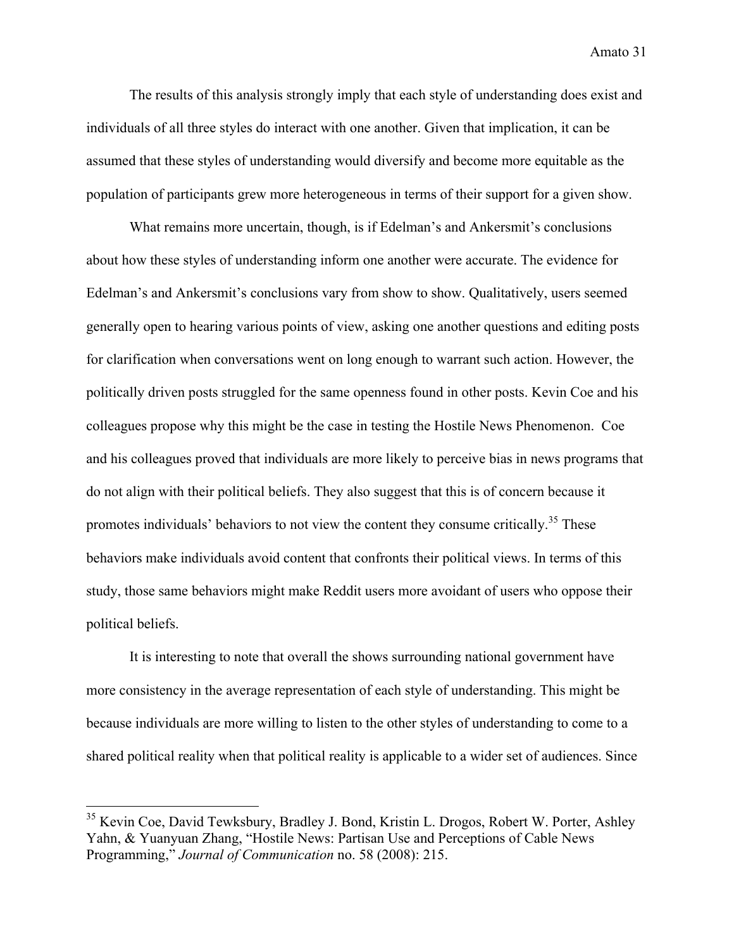The results of this analysis strongly imply that each style of understanding does exist and individuals of all three styles do interact with one another. Given that implication, it can be assumed that these styles of understanding would diversify and become more equitable as the population of participants grew more heterogeneous in terms of their support for a given show.

What remains more uncertain, though, is if Edelman's and Ankersmit's conclusions about how these styles of understanding inform one another were accurate. The evidence for Edelman's and Ankersmit's conclusions vary from show to show. Qualitatively, users seemed generally open to hearing various points of view, asking one another questions and editing posts for clarification when conversations went on long enough to warrant such action. However, the politically driven posts struggled for the same openness found in other posts. Kevin Coe and his colleagues propose why this might be the case in testing the Hostile News Phenomenon. Coe and his colleagues proved that individuals are more likely to perceive bias in news programs that do not align with their political beliefs. They also suggest that this is of concern because it promotes individuals' behaviors to not view the content they consume critically.<sup>35</sup> These behaviors make individuals avoid content that confronts their political views. In terms of this study, those same behaviors might make Reddit users more avoidant of users who oppose their political beliefs.

It is interesting to note that overall the shows surrounding national government have more consistency in the average representation of each style of understanding. This might be because individuals are more willing to listen to the other styles of understanding to come to a shared political reality when that political reality is applicable to a wider set of audiences. Since

<sup>&</sup>lt;sup>35</sup> Kevin Coe, David Tewksbury, Bradley J. Bond, Kristin L. Drogos, Robert W. Porter, Ashley Yahn, & Yuanyuan Zhang, "Hostile News: Partisan Use and Perceptions of Cable News Programming," *Journal of Communication* no. 58 (2008): 215.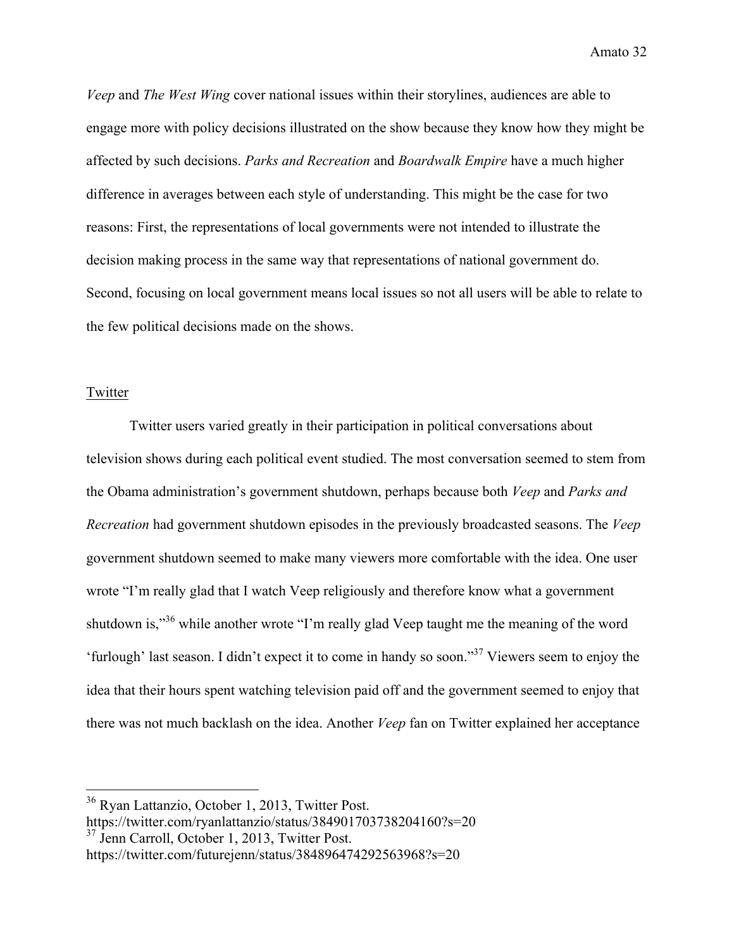*Veep* and *The West Wing* cover national issues within their storylines, audiences are able to engage more with policy decisions illustrated on the show because they know how they might be affected by such decisions. *Parks and Recreation* and *Boardwalk Empire* have a much higher difference in averages between each style of understanding. This might be the case for two reasons: First, the representations of local governments were not intended to illustrate the decision making process in the same way that representations of national government do. Second, focusing on local government means local issues so not all users will be able to relate to the few political decisions made on the shows.

#### Twitter

Twitter users varied greatly in their participation in political conversations about television shows during each political event studied. The most conversation seemed to stem from the Obama administration's government shutdown, perhaps because both *Veep* and *Parks and Recreation* had government shutdown episodes in the previously broadcasted seasons. The *Veep*  government shutdown seemed to make many viewers more comfortable with the idea. One user wrote "I'm really glad that I watch Veep religiously and therefore know what a government shutdown is,<sup>36</sup> while another wrote "I'm really glad Veep taught me the meaning of the word 'furlough' last season. I didn't expect it to come in handy so soon."<sup>37</sup> Viewers seem to enjoy the idea that their hours spent watching television paid off and the government seemed to enjoy that there was not much backlash on the idea. Another *Veep* fan on Twitter explained her acceptance

<sup>37</sup> Jenn Carroll, October 1, 2013, Twitter Post.

 <sup>36</sup> Ryan Lattanzio, October 1, 2013, Twitter Post.

https://twitter.com/ryanlattanzio/status/384901703738204160?s=20

https://twitter.com/futurejenn/status/384896474292563968?s=20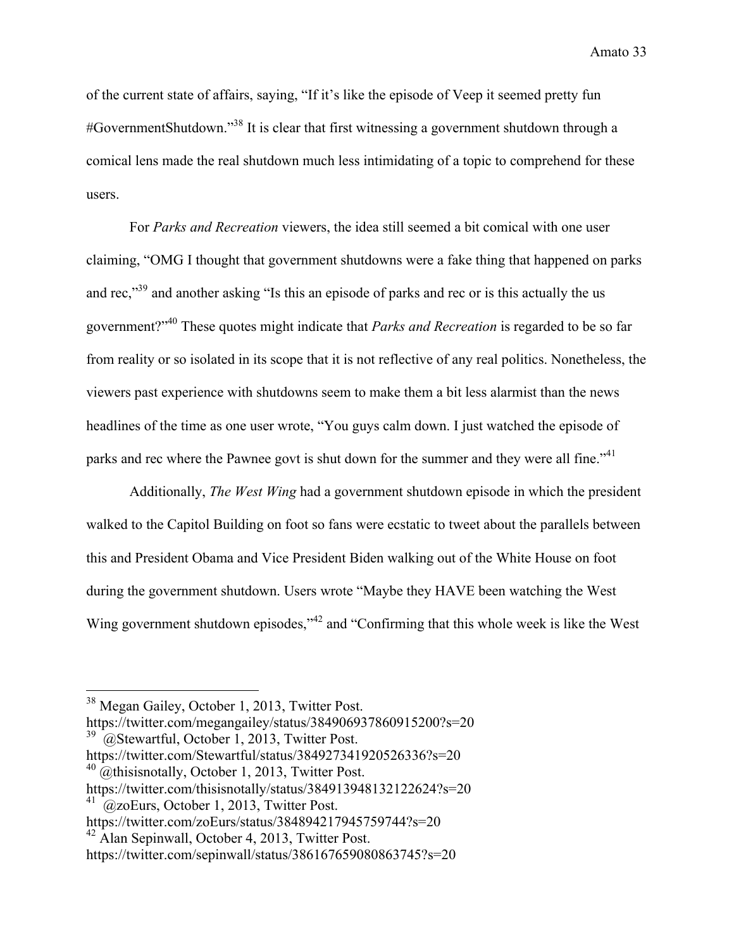of the current state of affairs, saying, "If it's like the episode of Veep it seemed pretty fun #GovernmentShutdown."38 It is clear that first witnessing a government shutdown through a comical lens made the real shutdown much less intimidating of a topic to comprehend for these users.

For *Parks and Recreation* viewers, the idea still seemed a bit comical with one user claiming, "OMG I thought that government shutdowns were a fake thing that happened on parks and rec,<sup>339</sup> and another asking "Is this an episode of parks and rec or is this actually the us government?"40 These quotes might indicate that *Parks and Recreation* is regarded to be so far from reality or so isolated in its scope that it is not reflective of any real politics. Nonetheless, the viewers past experience with shutdowns seem to make them a bit less alarmist than the news headlines of the time as one user wrote, "You guys calm down. I just watched the episode of parks and rec where the Pawnee govt is shut down for the summer and they were all fine."<sup>41</sup>

Additionally, *The West Wing* had a government shutdown episode in which the president walked to the Capitol Building on foot so fans were ecstatic to tweet about the parallels between this and President Obama and Vice President Biden walking out of the White House on foot during the government shutdown. Users wrote "Maybe they HAVE been watching the West Wing government shutdown episodes,"<sup>42</sup> and "Confirming that this whole week is like the West

 <sup>38</sup> Megan Gailey, October 1, 2013, Twitter Post.

https://twitter.com/megangailey/status/384906937860915200?s=20  $39 \text{ C}$  @Stewartful, October 1, 2013, Twitter Post.

https://twitter.com/Stewartful/status/384927341920526336?s=20  $^{40}$  @thisisnotally, October 1, 2013, Twitter Post.

https://twitter.com/thisisnotally/status/384913948132122624?s=20

 $^{41}$   $\alpha$ zoEurs, October 1, 2013, Twitter Post.

https://twitter.com/zoEurs/status/384894217945759744?s=20

<sup>&</sup>lt;sup>42</sup> Alan Sepinwall, October 4, 2013, Twitter Post.

https://twitter.com/sepinwall/status/386167659080863745?s=20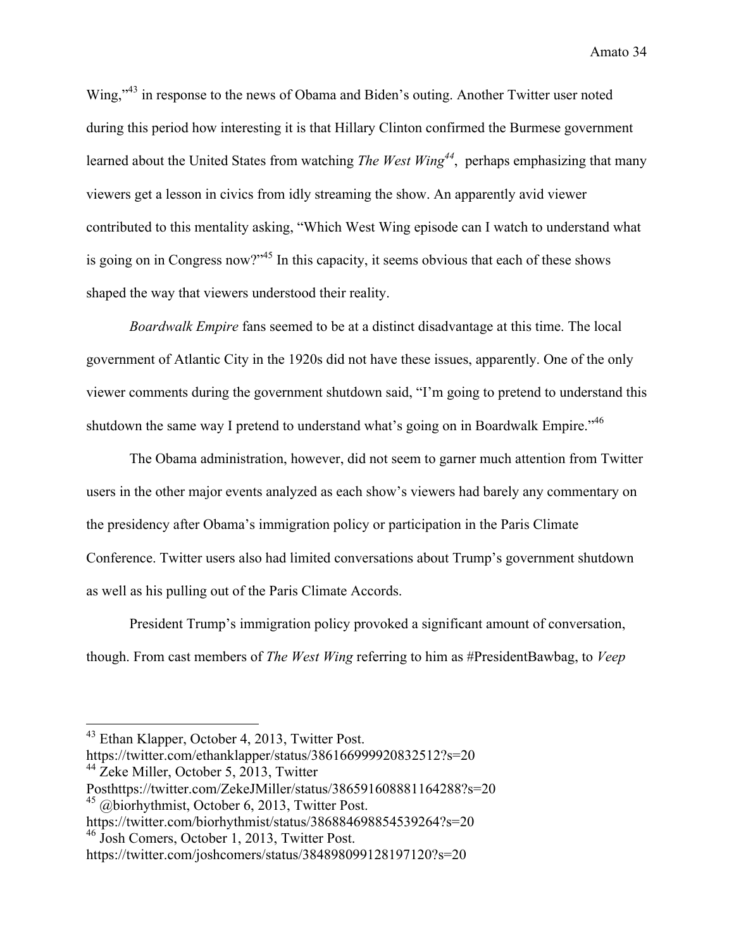Wing,"<sup>43</sup> in response to the news of Obama and Biden's outing. Another Twitter user noted during this period how interesting it is that Hillary Clinton confirmed the Burmese government learned about the United States from watching *The West Wing<sup>44</sup>*, perhaps emphasizing that many viewers get a lesson in civics from idly streaming the show. An apparently avid viewer contributed to this mentality asking, "Which West Wing episode can I watch to understand what is going on in Congress now?"45 In this capacity, it seems obvious that each of these shows shaped the way that viewers understood their reality.

*Boardwalk Empire* fans seemed to be at a distinct disadvantage at this time. The local government of Atlantic City in the 1920s did not have these issues, apparently. One of the only viewer comments during the government shutdown said, "I'm going to pretend to understand this shutdown the same way I pretend to understand what's going on in Boardwalk Empire."<sup>46</sup>

The Obama administration, however, did not seem to garner much attention from Twitter users in the other major events analyzed as each show's viewers had barely any commentary on the presidency after Obama's immigration policy or participation in the Paris Climate Conference. Twitter users also had limited conversations about Trump's government shutdown as well as his pulling out of the Paris Climate Accords.

President Trump's immigration policy provoked a significant amount of conversation, though. From cast members of *The West Wing* referring to him as #PresidentBawbag, to *Veep* 

 <sup>43</sup> Ethan Klapper, October 4, 2013, Twitter Post.

https://twitter.com/ethanklapper/status/386166999920832512?s=20

<sup>&</sup>lt;sup>44</sup> Zeke Miller, October 5, 2013, Twitter

Posthttps://twitter.com/ZekeJMiller/status/386591608881164288?s=20

<sup>&</sup>lt;sup>45</sup> @biorhythmist, October 6, 2013, Twitter Post.

https://twitter.com/biorhythmist/status/386884698854539264?s=20

<sup>46</sup> Josh Comers, October 1, 2013, Twitter Post.

https://twitter.com/joshcomers/status/384898099128197120?s=20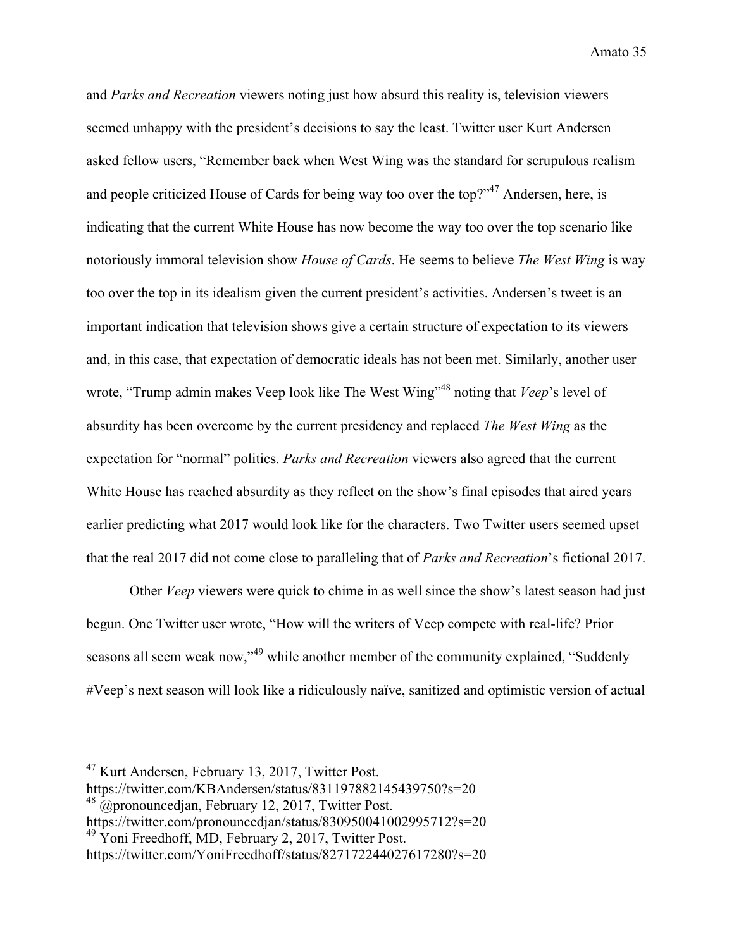and *Parks and Recreation* viewers noting just how absurd this reality is, television viewers seemed unhappy with the president's decisions to say the least. Twitter user Kurt Andersen asked fellow users, "Remember back when West Wing was the standard for scrupulous realism and people criticized House of Cards for being way too over the top?"<sup>47</sup> Andersen, here, is indicating that the current White House has now become the way too over the top scenario like notoriously immoral television show *House of Cards*. He seems to believe *The West Wing* is way too over the top in its idealism given the current president's activities. Andersen's tweet is an important indication that television shows give a certain structure of expectation to its viewers and, in this case, that expectation of democratic ideals has not been met. Similarly, another user wrote, "Trump admin makes Veep look like The West Wing"<sup>48</sup> noting that *Veep*'s level of absurdity has been overcome by the current presidency and replaced *The West Wing* as the expectation for "normal" politics. *Parks and Recreation* viewers also agreed that the current White House has reached absurdity as they reflect on the show's final episodes that aired years earlier predicting what 2017 would look like for the characters. Two Twitter users seemed upset that the real 2017 did not come close to paralleling that of *Parks and Recreation*'s fictional 2017.

Other *Veep* viewers were quick to chime in as well since the show's latest season had just begun. One Twitter user wrote, "How will the writers of Veep compete with real-life? Prior seasons all seem weak now,"<sup>49</sup> while another member of the community explained, "Suddenly" #Veep's next season will look like a ridiculously naïve, sanitized and optimistic version of actual

 <sup>47</sup> Kurt Andersen, February 13, 2017, Twitter Post.

https://twitter.com/KBAndersen/status/831197882145439750?s=20

 $^{48}$  @pronouncedjan, February 12, 2017, Twitter Post.

https://twitter.com/pronouncedjan/status/830950041002995712?s=20

<sup>&</sup>lt;sup>49</sup> Yoni Freedhoff, MD, February 2, 2017, Twitter Post.

https://twitter.com/YoniFreedhoff/status/827172244027617280?s=20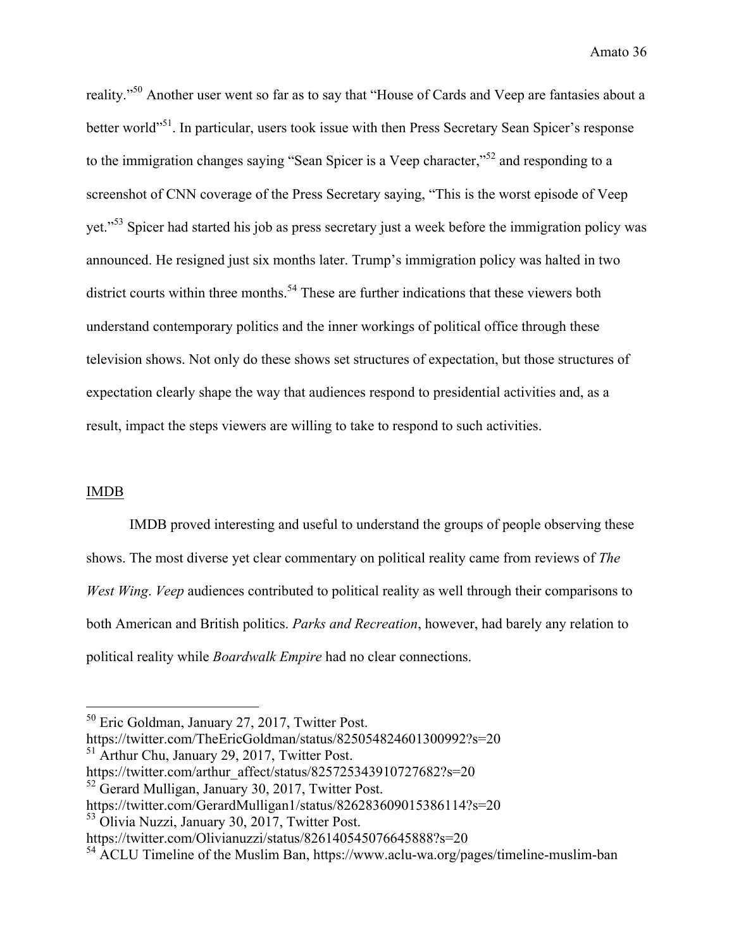reality."50 Another user went so far as to say that "House of Cards and Veep are fantasies about a better world"<sup>51</sup>. In particular, users took issue with then Press Secretary Sean Spicer's response to the immigration changes saying "Sean Spicer is a Veep character,"<sup>52</sup> and responding to a screenshot of CNN coverage of the Press Secretary saying, "This is the worst episode of Veep yet."<sup>53</sup> Spicer had started his job as press secretary just a week before the immigration policy was announced. He resigned just six months later. Trump's immigration policy was halted in two district courts within three months.<sup>54</sup> These are further indications that these viewers both understand contemporary politics and the inner workings of political office through these television shows. Not only do these shows set structures of expectation, but those structures of expectation clearly shape the way that audiences respond to presidential activities and, as a result, impact the steps viewers are willing to take to respond to such activities.

#### IMDB

IMDB proved interesting and useful to understand the groups of people observing these shows. The most diverse yet clear commentary on political reality came from reviews of *The West Wing*. *Veep* audiences contributed to political reality as well through their comparisons to both American and British politics. *Parks and Recreation*, however, had barely any relation to political reality while *Boardwalk Empire* had no clear connections.

<sup>53</sup> Olivia Nuzzi, January 30, 2017, Twitter Post.

 <sup>50</sup> Eric Goldman, January 27, 2017, Twitter Post.

https://twitter.com/TheEricGoldman/status/825054824601300992?s=20

<sup>&</sup>lt;sup>51</sup> Arthur Chu, January 29, 2017, Twitter Post.

https://twitter.com/arthur\_affect/status/825725343910727682?s=20

<sup>&</sup>lt;sup>52</sup> Gerard Mulligan, January 30, 2017, Twitter Post.

https://twitter.com/GerardMulligan1/status/826283609015386114?s=20

https://twitter.com/Olivianuzzi/status/826140545076645888?s=20

<sup>54</sup> ACLU Timeline of the Muslim Ban, https://www.aclu-wa.org/pages/timeline-muslim-ban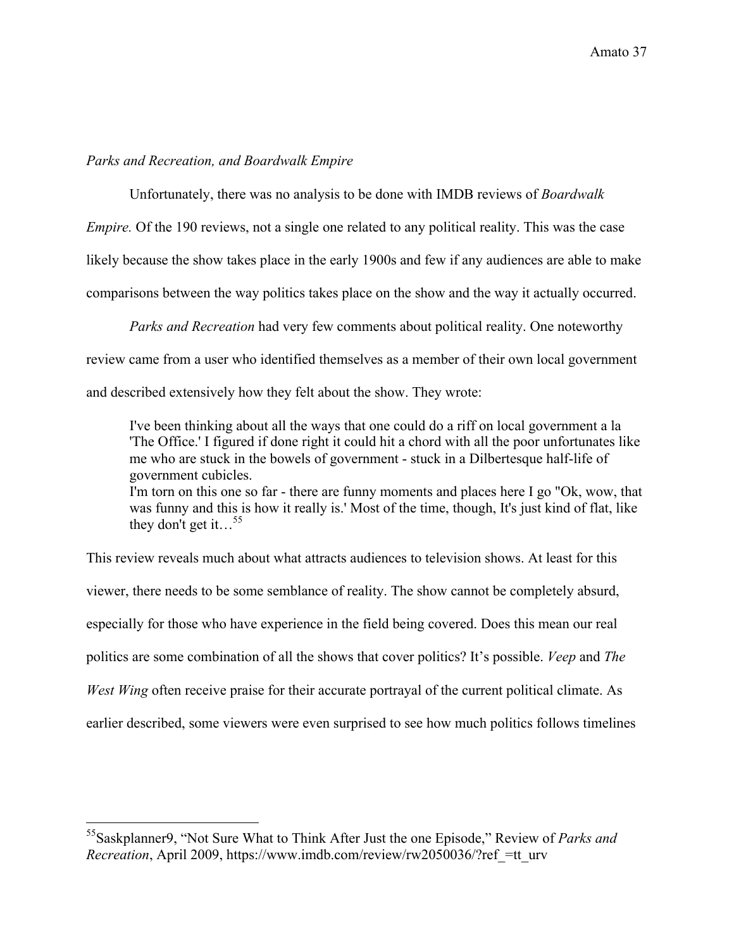#### *Parks and Recreation, and Boardwalk Empire*

Unfortunately, there was no analysis to be done with IMDB reviews of *Boardwalk* 

*Empire.* Of the 190 reviews, not a single one related to any political reality. This was the case

likely because the show takes place in the early 1900s and few if any audiences are able to make

comparisons between the way politics takes place on the show and the way it actually occurred.

*Parks and Recreation* had very few comments about political reality. One noteworthy review came from a user who identified themselves as a member of their own local government and described extensively how they felt about the show. They wrote:

I've been thinking about all the ways that one could do a riff on local government a la 'The Office.' I figured if done right it could hit a chord with all the poor unfortunates like me who are stuck in the bowels of government - stuck in a Dilbertesque half-life of government cubicles. I'm torn on this one so far - there are funny moments and places here I go "Ok, wow, that was funny and this is how it really is.' Most of the time, though, It's just kind of flat, like they don't get it... $^{55}$ 

This review reveals much about what attracts audiences to television shows. At least for this viewer, there needs to be some semblance of reality. The show cannot be completely absurd, especially for those who have experience in the field being covered. Does this mean our real politics are some combination of all the shows that cover politics? It's possible. *Veep* and *The West Wing* often receive praise for their accurate portrayal of the current political climate. As earlier described, some viewers were even surprised to see how much politics follows timelines

 <sup>55</sup>Saskplanner9, "Not Sure What to Think After Just the one Episode," Review of *Parks and Recreation*, April 2009, https://www.imdb.com/review/rw2050036/?ref =tt\_urv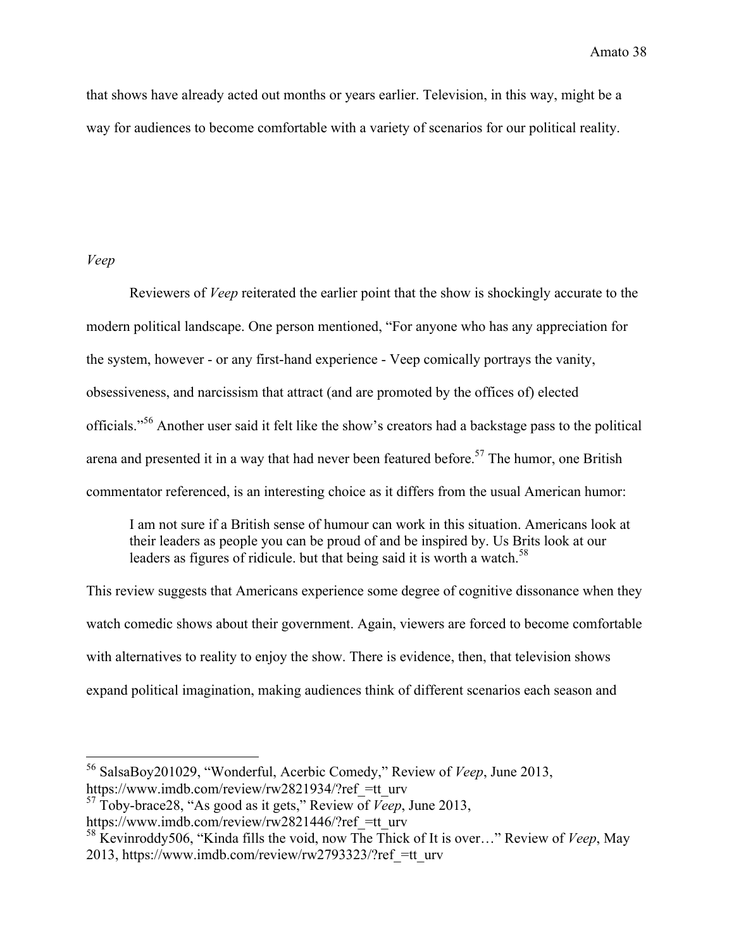that shows have already acted out months or years earlier. Television, in this way, might be a way for audiences to become comfortable with a variety of scenarios for our political reality.

#### *Veep*

Reviewers of *Veep* reiterated the earlier point that the show is shockingly accurate to the modern political landscape. One person mentioned, "For anyone who has any appreciation for the system, however - or any first-hand experience - Veep comically portrays the vanity, obsessiveness, and narcissism that attract (and are promoted by the offices of) elected officials."<sup>56</sup> Another user said it felt like the show's creators had a backstage pass to the political arena and presented it in a way that had never been featured before.<sup>57</sup> The humor, one British commentator referenced, is an interesting choice as it differs from the usual American humor:

I am not sure if a British sense of humour can work in this situation. Americans look at their leaders as people you can be proud of and be inspired by. Us Brits look at our leaders as figures of ridicule. but that being said it is worth a watch. $^{58}$ 

This review suggests that Americans experience some degree of cognitive dissonance when they watch comedic shows about their government. Again, viewers are forced to become comfortable with alternatives to reality to enjoy the show. There is evidence, then, that television shows expand political imagination, making audiences think of different scenarios each season and

 <sup>56</sup> SalsaBoy201029, "Wonderful, Acerbic Comedy," Review of *Veep*, June 2013, https://www.imdb.com/review/rw2821934/?ref =tt\_urv

<sup>57</sup> Toby-brace28, "As good as it gets," Review of *Veep*, June 2013,

https://www.imdb.com/review/rw2821446/?ref =tt\_urv

<sup>58</sup> Kevinroddy506, "Kinda fills the void, now The Thick of It is over…" Review of *Veep*, May 2013, https://www.imdb.com/review/rw2793323/?ref\_=tt\_urv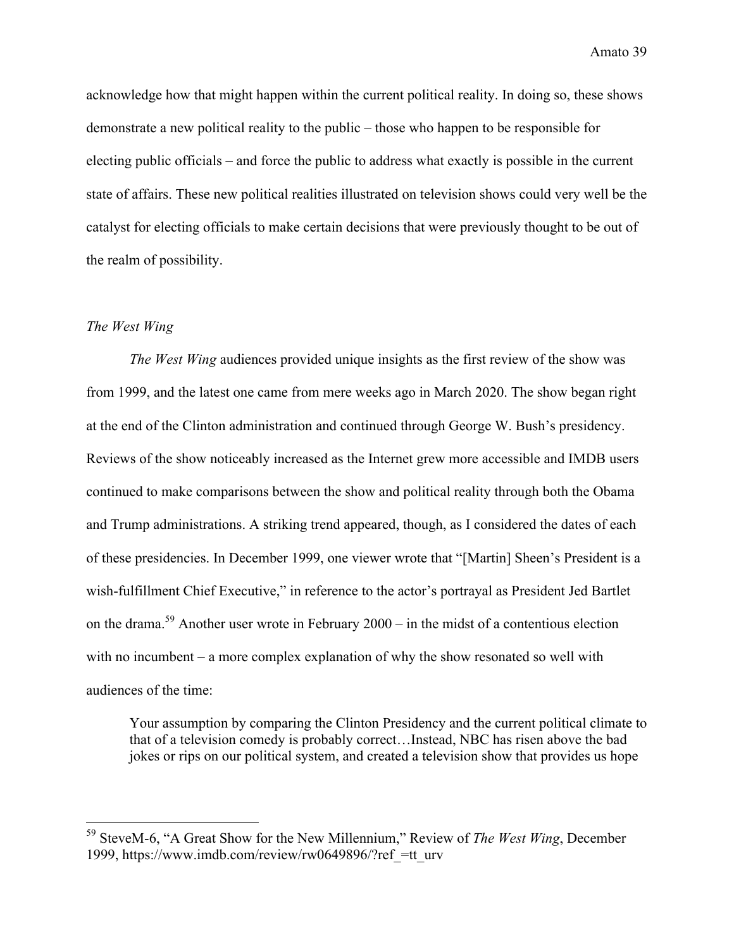acknowledge how that might happen within the current political reality. In doing so, these shows demonstrate a new political reality to the public – those who happen to be responsible for electing public officials – and force the public to address what exactly is possible in the current state of affairs. These new political realities illustrated on television shows could very well be the catalyst for electing officials to make certain decisions that were previously thought to be out of the realm of possibility.

#### *The West Wing*

*The West Wing* audiences provided unique insights as the first review of the show was from 1999, and the latest one came from mere weeks ago in March 2020. The show began right at the end of the Clinton administration and continued through George W. Bush's presidency. Reviews of the show noticeably increased as the Internet grew more accessible and IMDB users continued to make comparisons between the show and political reality through both the Obama and Trump administrations. A striking trend appeared, though, as I considered the dates of each of these presidencies. In December 1999, one viewer wrote that "[Martin] Sheen's President is a wish-fulfillment Chief Executive," in reference to the actor's portrayal as President Jed Bartlet on the drama.<sup>59</sup> Another user wrote in February 2000 – in the midst of a contentious election with no incumbent – a more complex explanation of why the show resonated so well with audiences of the time:

Your assumption by comparing the Clinton Presidency and the current political climate to that of a television comedy is probably correct…Instead, NBC has risen above the bad jokes or rips on our political system, and created a television show that provides us hope

 <sup>59</sup> SteveM-6, "A Great Show for the New Millennium," Review of *The West Wing*, December 1999, https://www.imdb.com/review/rw0649896/?ref\_=tt\_urv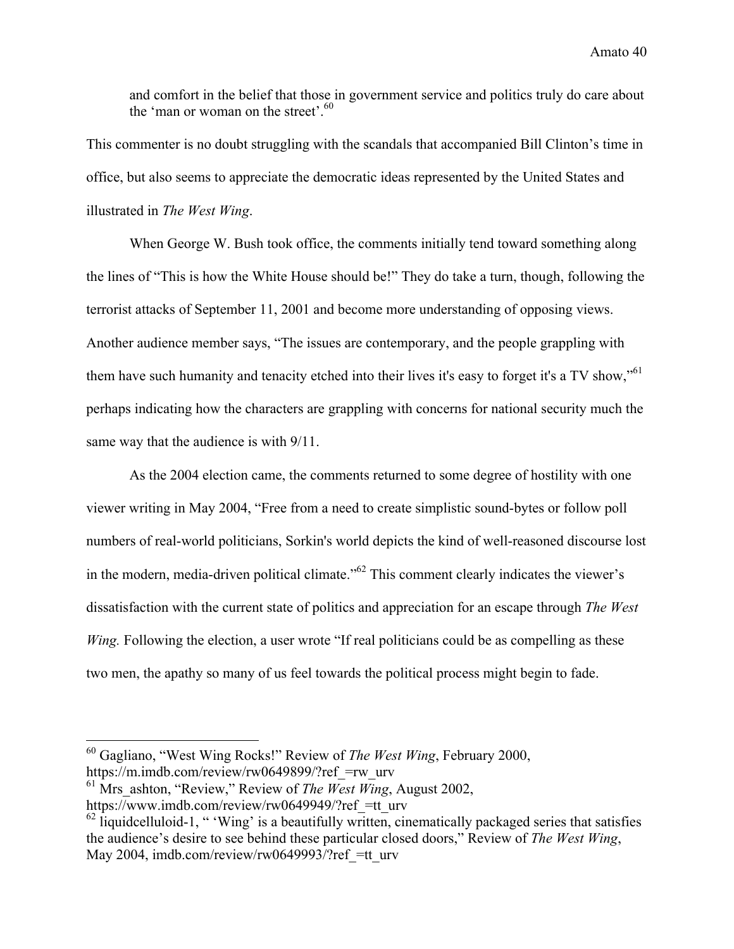and comfort in the belief that those in government service and politics truly do care about the 'man or woman on the street'.  $60$ 

This commenter is no doubt struggling with the scandals that accompanied Bill Clinton's time in office, but also seems to appreciate the democratic ideas represented by the United States and illustrated in *The West Wing*.

When George W. Bush took office, the comments initially tend toward something along the lines of "This is how the White House should be!" They do take a turn, though, following the terrorist attacks of September 11, 2001 and become more understanding of opposing views. Another audience member says, "The issues are contemporary, and the people grappling with them have such humanity and tenacity etched into their lives it's easy to forget it's a TV show,"<sup>61</sup> perhaps indicating how the characters are grappling with concerns for national security much the same way that the audience is with 9/11.

As the 2004 election came, the comments returned to some degree of hostility with one viewer writing in May 2004, "Free from a need to create simplistic sound-bytes or follow poll numbers of real-world politicians, Sorkin's world depicts the kind of well-reasoned discourse lost in the modern, media-driven political climate."<sup>62</sup> This comment clearly indicates the viewer's dissatisfaction with the current state of politics and appreciation for an escape through *The West Wing.* Following the election, a user wrote "If real politicians could be as compelling as these two men, the apathy so many of us feel towards the political process might begin to fade.

 <sup>60</sup> Gagliano, "West Wing Rocks!" Review of *The West Wing*, February 2000, https://m.imdb.com/review/rw0649899/?ref =rw\_urv

<sup>&</sup>lt;sup>61</sup> Mrs ashton, "Review," Review of *The West Wing*, August 2002,

https://www.imdb.com/review/rw0649949/?ref =tt\_urv

 $62$  liquidcelluloid-1, " 'Wing' is a beautifully written, cinematically packaged series that satisfies the audience's desire to see behind these particular closed doors," Review of *The West Wing*, May 2004, imdb.com/review/rw0649993/?ref =tt\_urv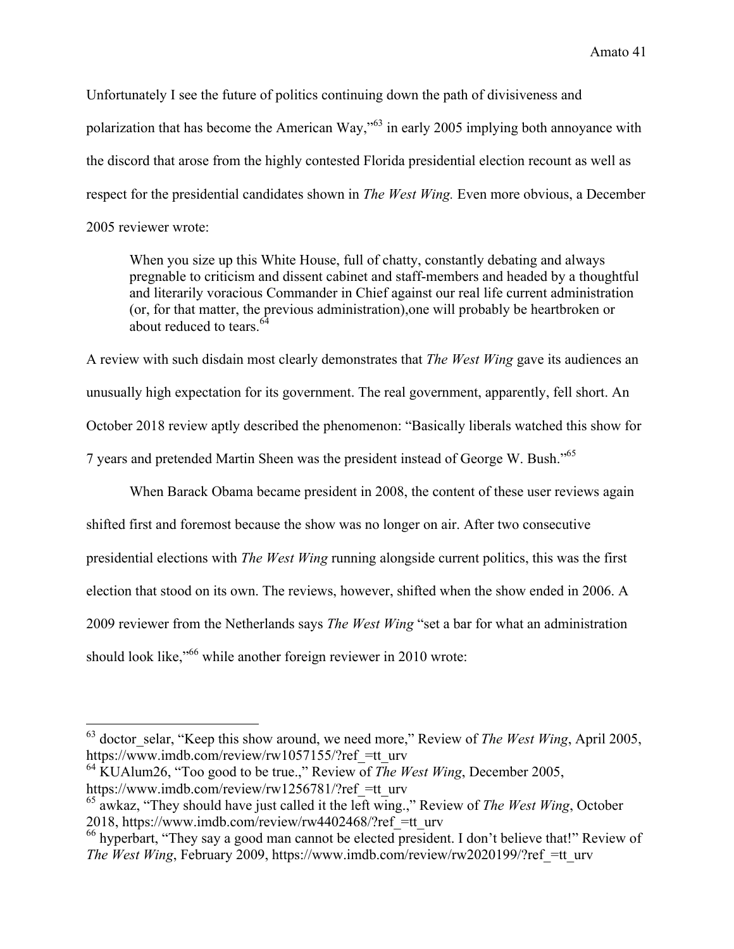Unfortunately I see the future of politics continuing down the path of divisiveness and polarization that has become the American Way,"63 in early 2005 implying both annoyance with the discord that arose from the highly contested Florida presidential election recount as well as respect for the presidential candidates shown in *The West Wing.* Even more obvious, a December 2005 reviewer wrote:

When you size up this White House, full of chatty, constantly debating and always pregnable to criticism and dissent cabinet and staff-members and headed by a thoughtful and literarily voracious Commander in Chief against our real life current administration (or, for that matter, the previous administration),one will probably be heartbroken or about reduced to tears  $^{64}$ 

A review with such disdain most clearly demonstrates that *The West Wing* gave its audiences an unusually high expectation for its government. The real government, apparently, fell short. An October 2018 review aptly described the phenomenon: "Basically liberals watched this show for 7 years and pretended Martin Sheen was the president instead of George W. Bush."<sup>65</sup>

When Barack Obama became president in 2008, the content of these user reviews again shifted first and foremost because the show was no longer on air. After two consecutive presidential elections with *The West Wing* running alongside current politics, this was the first election that stood on its own. The reviews, however, shifted when the show ended in 2006. A 2009 reviewer from the Netherlands says *The West Wing* "set a bar for what an administration should look like,<sup>166</sup> while another foreign reviewer in 2010 wrote:

<sup>64</sup> KUAlum26, "Too good to be true.," Review of *The West Wing*, December 2005, https://www.imdb.com/review/rw1256781/?ref =tt\_urv

<sup>&</sup>lt;sup>63</sup> doctor selar, "Keep this show around, we need more," Review of *The West Wing*, April 2005, https://www.imdb.com/review/rw1057155/?ref =tt\_urv

<sup>65</sup> awkaz, "They should have just called it the left wing.," Review of *The West Wing*, October 2018, https://www.imdb.com/review/rw4402468/?ref\_=tt\_urv

<sup>66</sup> hyperbart, "They say a good man cannot be elected president. I don't believe that!" Review of *The West Wing*, February 2009, https://www.imdb.com/review/rw2020199/?ref =tt\_urv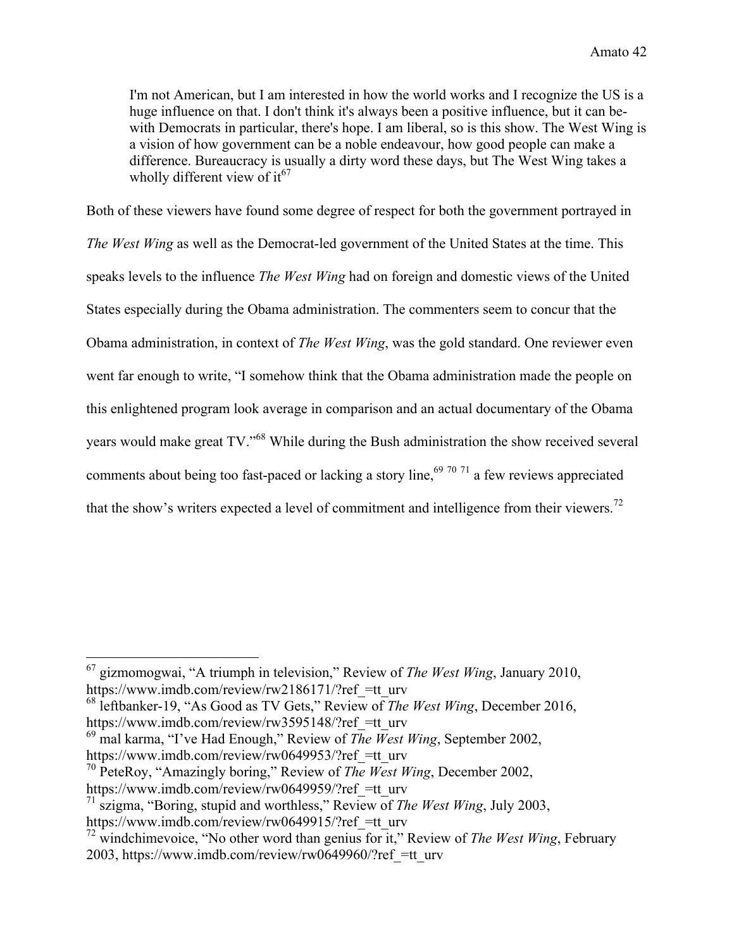I'm not American, but I am interested in how the world works and I recognize the US is a huge influence on that. I don't think it's always been a positive influence, but it can bewith Democrats in particular, there's hope. I am liberal, so is this show. The West Wing is a vision of how government can be a noble endeavour, how good people can make a difference. Bureaucracy is usually a dirty word these days, but The West Wing takes a wholly different view of  $it^{67}$ 

Both of these viewers have found some degree of respect for both the government portrayed in *The West Wing* as well as the Democrat-led government of the United States at the time. This speaks levels to the influence *The West Wing* had on foreign and domestic views of the United States especially during the Obama administration. The commenters seem to concur that the Obama administration, in context of *The West Wing*, was the gold standard. One reviewer even went far enough to write, "I somehow think that the Obama administration made the people on this enlightened program look average in comparison and an actual documentary of the Obama years would make great TV."<sup>68</sup> While during the Bush administration the show received several comments about being too fast-paced or lacking a story line,<sup>69 70 71</sup> a few reviews appreciated that the show's writers expected a level of commitment and intelligence from their viewers.<sup>72</sup>

 <sup>67</sup> gizmomogwai, "A triumph in television," Review of *The West Wing*, January 2010, https://www.imdb.com/review/rw2186171/?ref =tt\_urv

<sup>68</sup> leftbanker-19, "As Good as TV Gets," Review of *The West Wing*, December 2016, https://www.imdb.com/review/rw3595148/?ref =tt\_urv

<sup>69</sup> mal karma, "I've Had Enough," Review of *The West Wing*, September 2002, https://www.imdb.com/review/rw0649953/?ref =tt\_urv

<sup>70</sup> PeteRoy, "Amazingly boring," Review of *The West Wing*, December 2002, https://www.imdb.com/review/rw0649959/?ref =tt\_urv

<sup>71</sup> szigma, "Boring, stupid and worthless," Review of *The West Wing*, July 2003,

https://www.imdb.com/review/rw0649915/?ref =tt\_urv

<sup>72</sup> windchimevoice, "No other word than genius for it," Review of *The West Wing*, February 2003, https://www.imdb.com/review/rw0649960/?ref\_=tt\_urv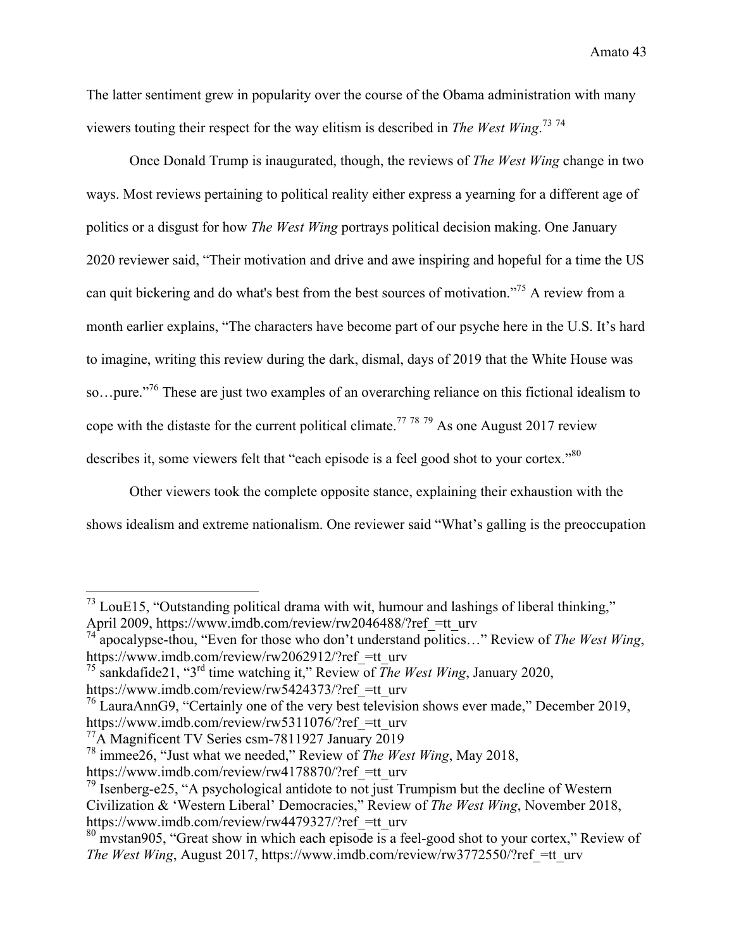The latter sentiment grew in popularity over the course of the Obama administration with many viewers touting their respect for the way elitism is described in *The West Wing*. 73 74

Once Donald Trump is inaugurated, though, the reviews of *The West Wing* change in two ways. Most reviews pertaining to political reality either express a yearning for a different age of politics or a disgust for how *The West Wing* portrays political decision making. One January 2020 reviewer said, "Their motivation and drive and awe inspiring and hopeful for a time the US can quit bickering and do what's best from the best sources of motivation."75 A review from a month earlier explains, "The characters have become part of our psyche here in the U.S. It's hard to imagine, writing this review during the dark, dismal, days of 2019 that the White House was so…pure."76 These are just two examples of an overarching reliance on this fictional idealism to cope with the distaste for the current political climate.<sup>77</sup> <sup>78</sup> <sup>79</sup> As one August 2017 review describes it, some viewers felt that "each episode is a feel good shot to your cortex."<sup>80</sup>

Other viewers took the complete opposite stance, explaining their exhaustion with the shows idealism and extreme nationalism. One reviewer said "What's galling is the preoccupation

 $^{73}$  LouE15, "Outstanding political drama with wit, humour and lashings of liberal thinking," April 2009, https://www.imdb.com/review/rw2046488/?ref =tt\_urv

<sup>74</sup> apocalypse-thou, "Even for those who don't understand politics…" Review of *The West Wing*, https://www.imdb.com/review/rw2062912/?ref =tt\_urv

<sup>&</sup>lt;sup>75</sup> sankdafide21, "3<sup>rd</sup> time watching it," Review of *The West Wing*, January 2020,

https://www.imdb.com/review/rw5424373/?ref =tt\_urv

<sup>&</sup>lt;sup>76</sup> LauraAnnG9, "Certainly one of the very best television shows ever made," December 2019, https://www.imdb.com/review/rw5311076/?ref =tt\_urv

<sup>&</sup>lt;sup>77</sup>A Magnificent TV Series csm-7811927 January 2019

<sup>78</sup> immee26, "Just what we needed," Review of *The West Wing*, May 2018,

https://www.imdb.com/review/rw4178870/?ref =tt\_urv

 $79$  Isenberg-e25, "A psychological antidote to not just Trumpism but the decline of Western Civilization & 'Western Liberal' Democracies," Review of *The West Wing*, November 2018, https://www.imdb.com/review/rw4479327/?ref =tt\_urv

 $80$  mystan905, "Great show in which each episode is a feel-good shot to your cortex," Review of *The West Wing*, August 2017, https://www.imdb.com/review/rw3772550/?ref =tt\_urv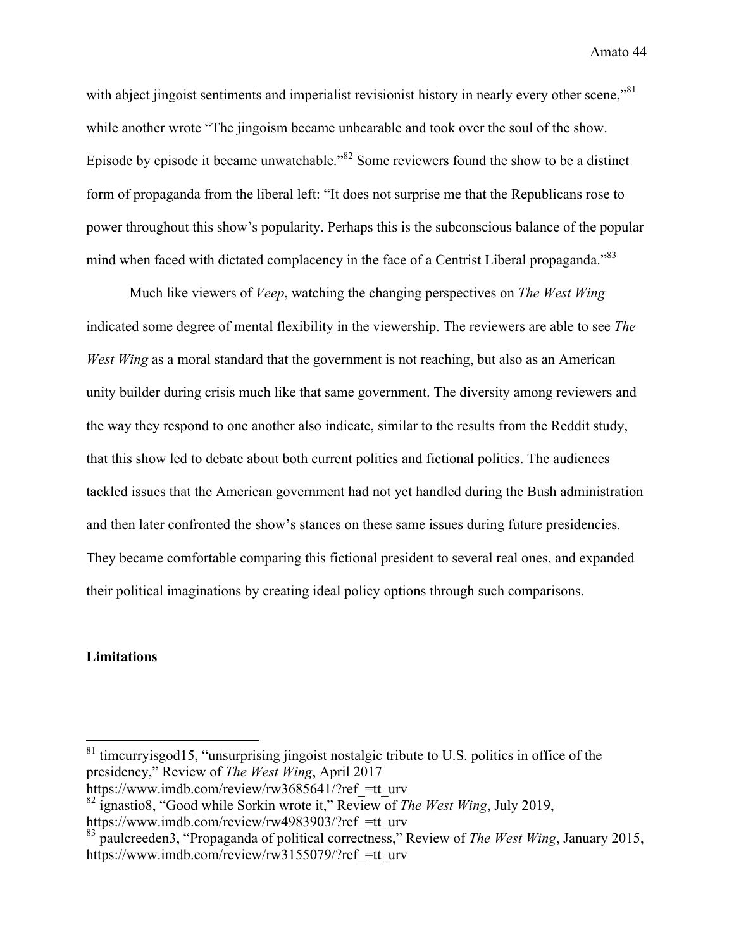with abject jingoist sentiments and imperialist revisionist history in nearly every other scene,"<sup>81</sup> while another wrote "The jingoism became unbearable and took over the soul of the show. Episode by episode it became unwatchable."82 Some reviewers found the show to be a distinct form of propaganda from the liberal left: "It does not surprise me that the Republicans rose to power throughout this show's popularity. Perhaps this is the subconscious balance of the popular mind when faced with dictated complacency in the face of a Centrist Liberal propaganda."<sup>83</sup>

Much like viewers of *Veep*, watching the changing perspectives on *The West Wing* indicated some degree of mental flexibility in the viewership. The reviewers are able to see *The West Wing* as a moral standard that the government is not reaching, but also as an American unity builder during crisis much like that same government. The diversity among reviewers and the way they respond to one another also indicate, similar to the results from the Reddit study, that this show led to debate about both current politics and fictional politics. The audiences tackled issues that the American government had not yet handled during the Bush administration and then later confronted the show's stances on these same issues during future presidencies. They became comfortable comparing this fictional president to several real ones, and expanded their political imaginations by creating ideal policy options through such comparisons.

#### **Limitations**

 $81$  timcurryisgod15, "unsurprising jingoist nostalgic tribute to U.S. politics in office of the presidency," Review of *The West Wing*, April 2017 https://www.imdb.com/review/rw3685641/?ref =tt\_urv

<sup>82</sup> ignastio8, "Good while Sorkin wrote it," Review of *The West Wing*, July 2019,

https://www.imdb.com/review/rw4983903/?ref =tt\_urv

<sup>83</sup> paulcreeden3, "Propaganda of political correctness," Review of *The West Wing*, January 2015, https://www.imdb.com/review/rw3155079/?ref =tt\_urv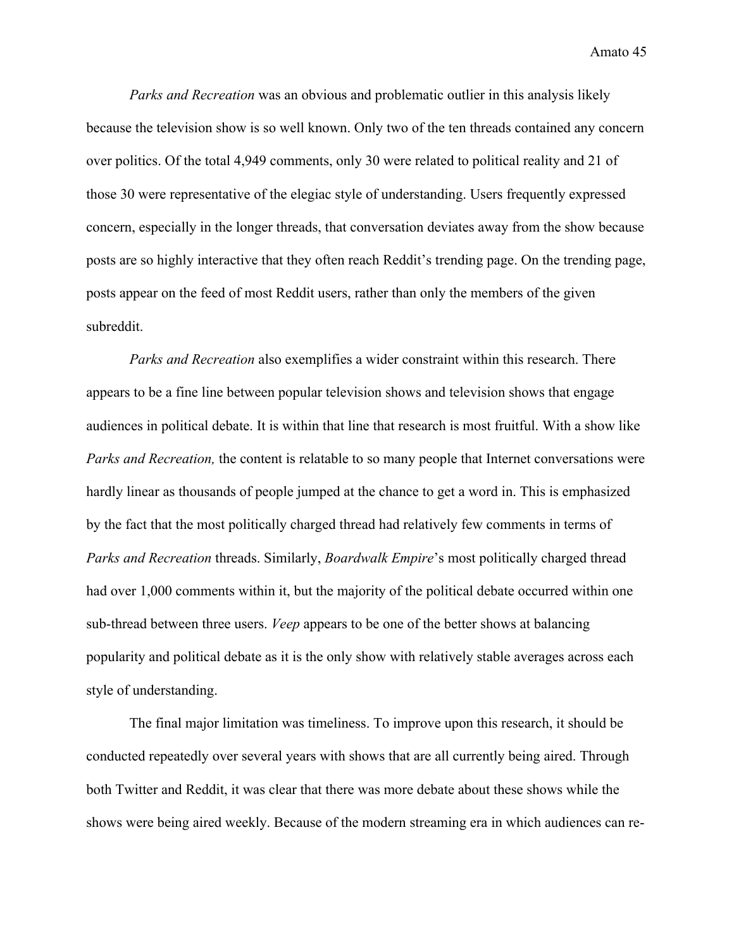*Parks and Recreation* was an obvious and problematic outlier in this analysis likely because the television show is so well known. Only two of the ten threads contained any concern over politics. Of the total 4,949 comments, only 30 were related to political reality and 21 of those 30 were representative of the elegiac style of understanding. Users frequently expressed concern, especially in the longer threads, that conversation deviates away from the show because posts are so highly interactive that they often reach Reddit's trending page. On the trending page, posts appear on the feed of most Reddit users, rather than only the members of the given subreddit.

*Parks and Recreation* also exemplifies a wider constraint within this research. There appears to be a fine line between popular television shows and television shows that engage audiences in political debate. It is within that line that research is most fruitful. With a show like *Parks and Recreation,* the content is relatable to so many people that Internet conversations were hardly linear as thousands of people jumped at the chance to get a word in. This is emphasized by the fact that the most politically charged thread had relatively few comments in terms of *Parks and Recreation* threads. Similarly, *Boardwalk Empire*'s most politically charged thread had over 1,000 comments within it, but the majority of the political debate occurred within one sub-thread between three users. *Veep* appears to be one of the better shows at balancing popularity and political debate as it is the only show with relatively stable averages across each style of understanding.

The final major limitation was timeliness. To improve upon this research, it should be conducted repeatedly over several years with shows that are all currently being aired. Through both Twitter and Reddit, it was clear that there was more debate about these shows while the shows were being aired weekly. Because of the modern streaming era in which audiences can re-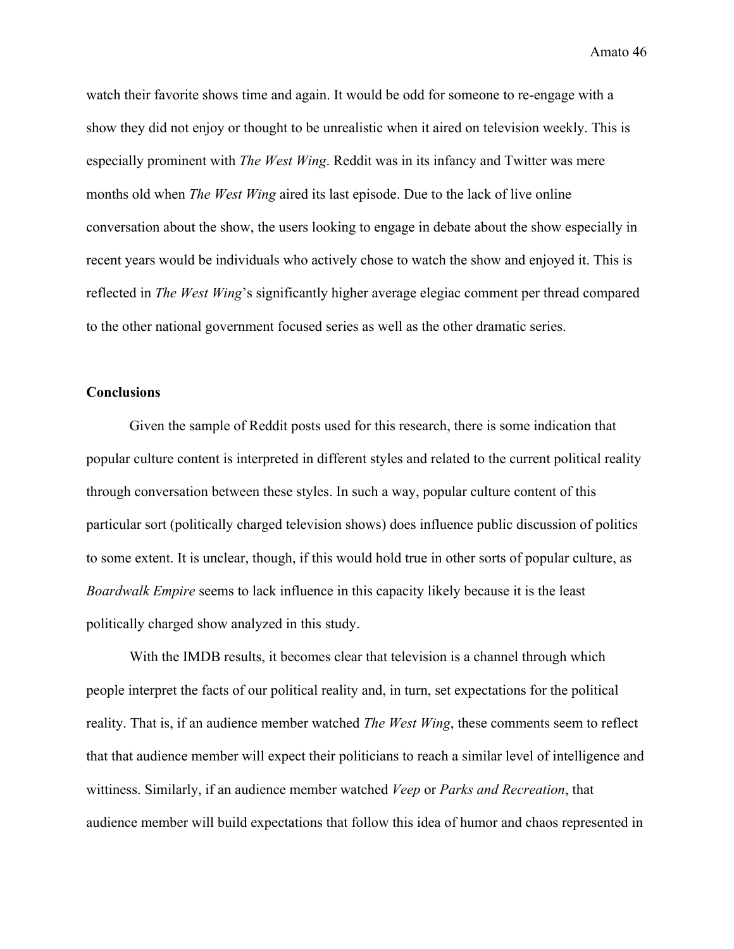watch their favorite shows time and again. It would be odd for someone to re-engage with a show they did not enjoy or thought to be unrealistic when it aired on television weekly. This is especially prominent with *The West Wing*. Reddit was in its infancy and Twitter was mere months old when *The West Wing* aired its last episode. Due to the lack of live online conversation about the show, the users looking to engage in debate about the show especially in recent years would be individuals who actively chose to watch the show and enjoyed it. This is reflected in *The West Wing*'s significantly higher average elegiac comment per thread compared to the other national government focused series as well as the other dramatic series.

#### **Conclusions**

Given the sample of Reddit posts used for this research, there is some indication that popular culture content is interpreted in different styles and related to the current political reality through conversation between these styles. In such a way, popular culture content of this particular sort (politically charged television shows) does influence public discussion of politics to some extent. It is unclear, though, if this would hold true in other sorts of popular culture, as *Boardwalk Empire* seems to lack influence in this capacity likely because it is the least politically charged show analyzed in this study.

With the IMDB results, it becomes clear that television is a channel through which people interpret the facts of our political reality and, in turn, set expectations for the political reality. That is, if an audience member watched *The West Wing*, these comments seem to reflect that that audience member will expect their politicians to reach a similar level of intelligence and wittiness. Similarly, if an audience member watched *Veep* or *Parks and Recreation*, that audience member will build expectations that follow this idea of humor and chaos represented in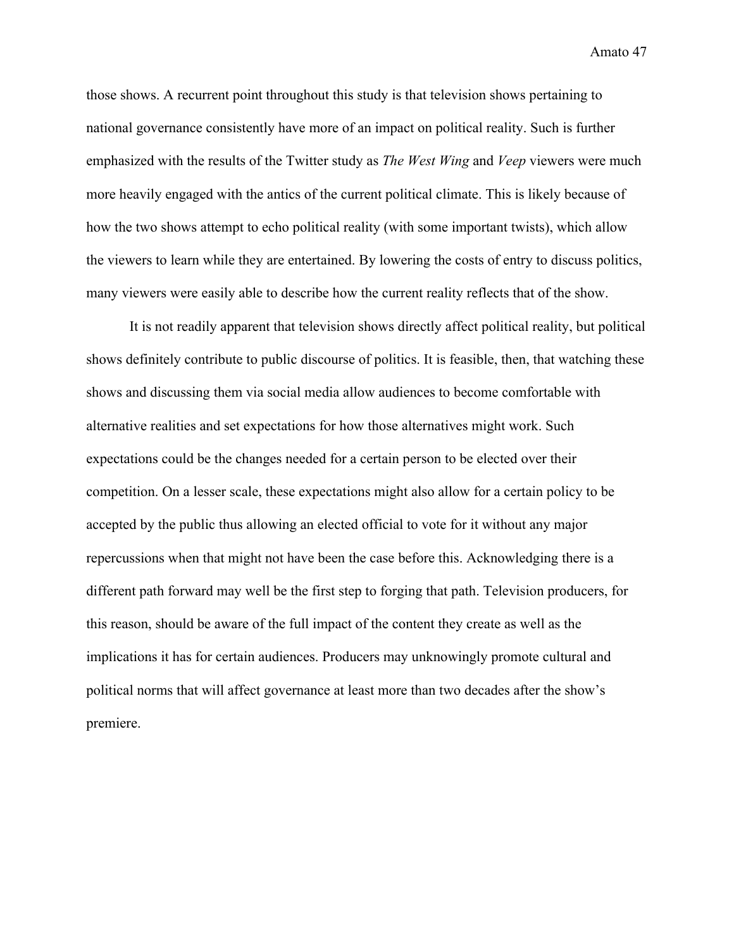those shows. A recurrent point throughout this study is that television shows pertaining to national governance consistently have more of an impact on political reality. Such is further emphasized with the results of the Twitter study as *The West Wing* and *Veep* viewers were much more heavily engaged with the antics of the current political climate. This is likely because of how the two shows attempt to echo political reality (with some important twists), which allow the viewers to learn while they are entertained. By lowering the costs of entry to discuss politics, many viewers were easily able to describe how the current reality reflects that of the show.

It is not readily apparent that television shows directly affect political reality, but political shows definitely contribute to public discourse of politics. It is feasible, then, that watching these shows and discussing them via social media allow audiences to become comfortable with alternative realities and set expectations for how those alternatives might work. Such expectations could be the changes needed for a certain person to be elected over their competition. On a lesser scale, these expectations might also allow for a certain policy to be accepted by the public thus allowing an elected official to vote for it without any major repercussions when that might not have been the case before this. Acknowledging there is a different path forward may well be the first step to forging that path. Television producers, for this reason, should be aware of the full impact of the content they create as well as the implications it has for certain audiences. Producers may unknowingly promote cultural and political norms that will affect governance at least more than two decades after the show's premiere.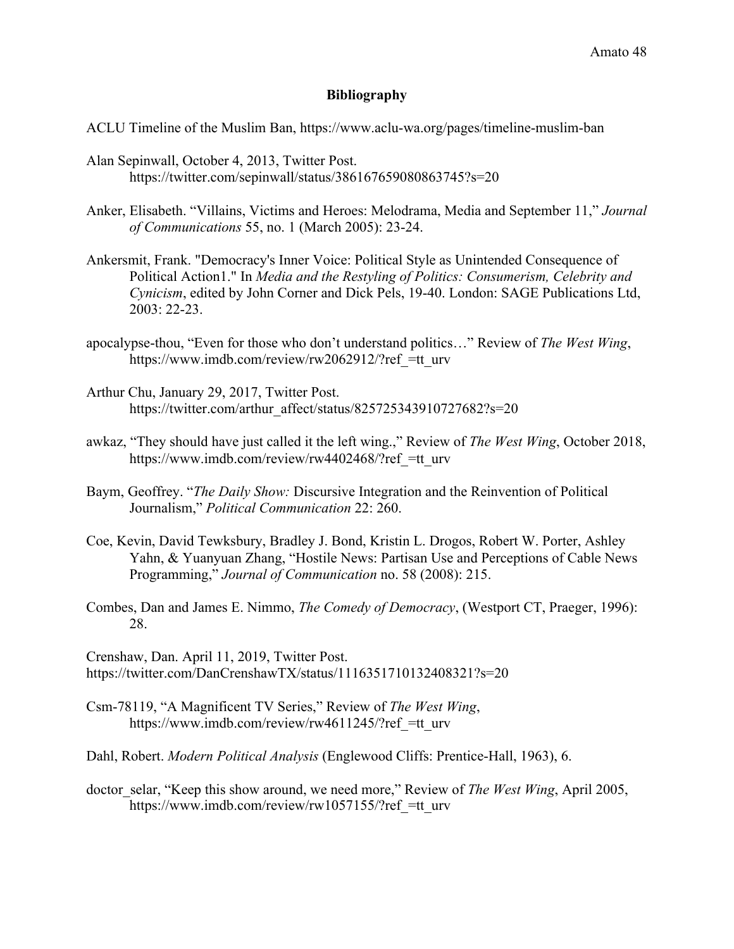#### **Bibliography**

- ACLU Timeline of the Muslim Ban, https://www.aclu-wa.org/pages/timeline-muslim-ban
- Alan Sepinwall, October 4, 2013, Twitter Post. https://twitter.com/sepinwall/status/386167659080863745?s=20
- Anker, Elisabeth. "Villains, Victims and Heroes: Melodrama, Media and September 11," *Journal of Communications* 55, no. 1 (March 2005): 23-24.
- Ankersmit, Frank. "Democracy's Inner Voice: Political Style as Unintended Consequence of Political Action1." In *Media and the Restyling of Politics: Consumerism, Celebrity and Cynicism*, edited by John Corner and Dick Pels, 19-40. London: SAGE Publications Ltd, 2003: 22-23.
- apocalypse-thou, "Even for those who don't understand politics…" Review of *The West Wing*, https://www.imdb.com/review/rw2062912/?ref =tt\_urv
- Arthur Chu, January 29, 2017, Twitter Post. https://twitter.com/arthur\_affect/status/825725343910727682?s=20
- awkaz, "They should have just called it the left wing.," Review of *The West Wing*, October 2018, https://www.imdb.com/review/rw4402468/?ref =tt\_urv
- Baym, Geoffrey. "*The Daily Show:* Discursive Integration and the Reinvention of Political Journalism," *Political Communication* 22: 260.
- Coe, Kevin, David Tewksbury, Bradley J. Bond, Kristin L. Drogos, Robert W. Porter, Ashley Yahn, & Yuanyuan Zhang, "Hostile News: Partisan Use and Perceptions of Cable News Programming," *Journal of Communication* no. 58 (2008): 215.
- Combes, Dan and James E. Nimmo, *The Comedy of Democracy*, (Westport CT, Praeger, 1996): 28.

Crenshaw, Dan. April 11, 2019, Twitter Post. https://twitter.com/DanCrenshawTX/status/1116351710132408321?s=20

- Csm-78119, "A Magnificent TV Series," Review of *The West Wing*, https://www.imdb.com/review/rw4611245/?ref =tt\_urv
- Dahl, Robert. *Modern Political Analysis* (Englewood Cliffs: Prentice-Hall, 1963), 6.
- doctor\_selar, "Keep this show around, we need more," Review of *The West Wing*, April 2005, https://www.imdb.com/review/rw1057155/?ref =tt\_urv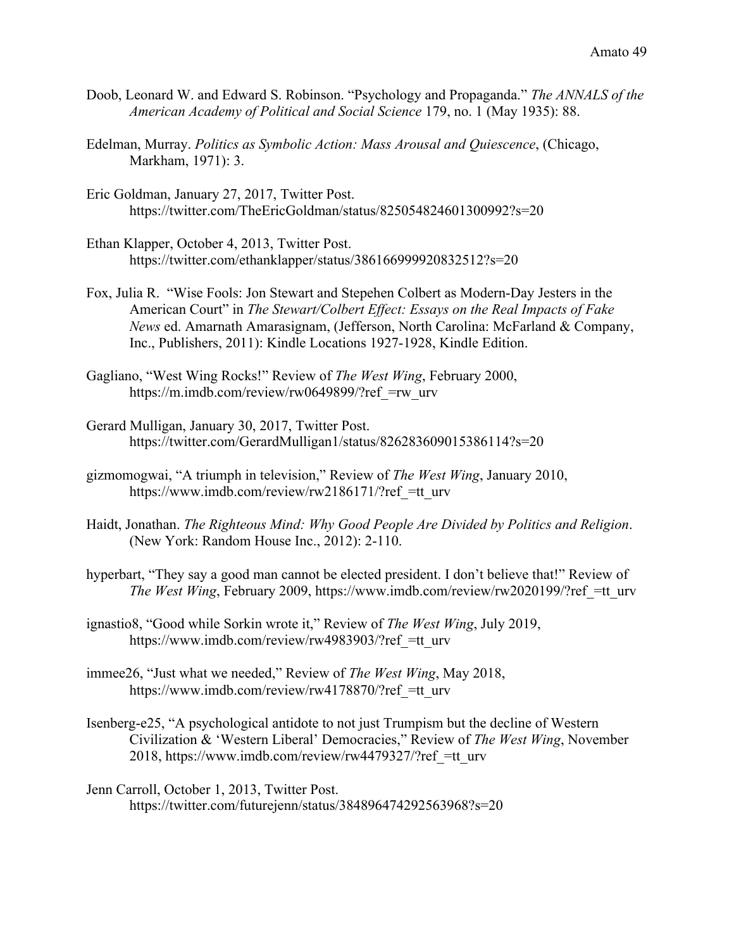- Doob, Leonard W. and Edward S. Robinson. "Psychology and Propaganda." *The ANNALS of the American Academy of Political and Social Science* 179, no. 1 (May 1935): 88.
- Edelman, Murray. *Politics as Symbolic Action: Mass Arousal and Quiescence*, (Chicago, Markham, 1971): 3.
- Eric Goldman, January 27, 2017, Twitter Post. https://twitter.com/TheEricGoldman/status/825054824601300992?s=20
- Ethan Klapper, October 4, 2013, Twitter Post. https://twitter.com/ethanklapper/status/386166999920832512?s=20
- Fox, Julia R. "Wise Fools: Jon Stewart and Stepehen Colbert as Modern-Day Jesters in the American Court" in *The Stewart/Colbert Effect: Essays on the Real Impacts of Fake News* ed. Amarnath Amarasignam, (Jefferson, North Carolina: McFarland & Company, Inc., Publishers, 2011): Kindle Locations 1927-1928, Kindle Edition.
- Gagliano, "West Wing Rocks!" Review of *The West Wing*, February 2000, https://m.imdb.com/review/rw0649899/?ref =rw\_urv
- Gerard Mulligan, January 30, 2017, Twitter Post. https://twitter.com/GerardMulligan1/status/826283609015386114?s=20
- gizmomogwai, "A triumph in television," Review of *The West Wing*, January 2010, https://www.imdb.com/review/rw2186171/?ref =tt\_urv
- Haidt, Jonathan. *The Righteous Mind: Why Good People Are Divided by Politics and Religion*. (New York: Random House Inc., 2012): 2-110.
- hyperbart, "They say a good man cannot be elected president. I don't believe that!" Review of *The West Wing*, February 2009, https://www.imdb.com/review/rw2020199/?ref = tt\_urv
- ignastio8, "Good while Sorkin wrote it," Review of *The West Wing*, July 2019, https://www.imdb.com/review/rw4983903/?ref =tt\_urv
- immee26, "Just what we needed," Review of *The West Wing*, May 2018, https://www.imdb.com/review/rw4178870/?ref =tt\_urv
- Isenberg-e25, "A psychological antidote to not just Trumpism but the decline of Western Civilization & 'Western Liberal' Democracies," Review of *The West Wing*, November 2018, https://www.imdb.com/review/rw4479327/?ref\_=tt\_urv
- Jenn Carroll, October 1, 2013, Twitter Post. https://twitter.com/futurejenn/status/384896474292563968?s=20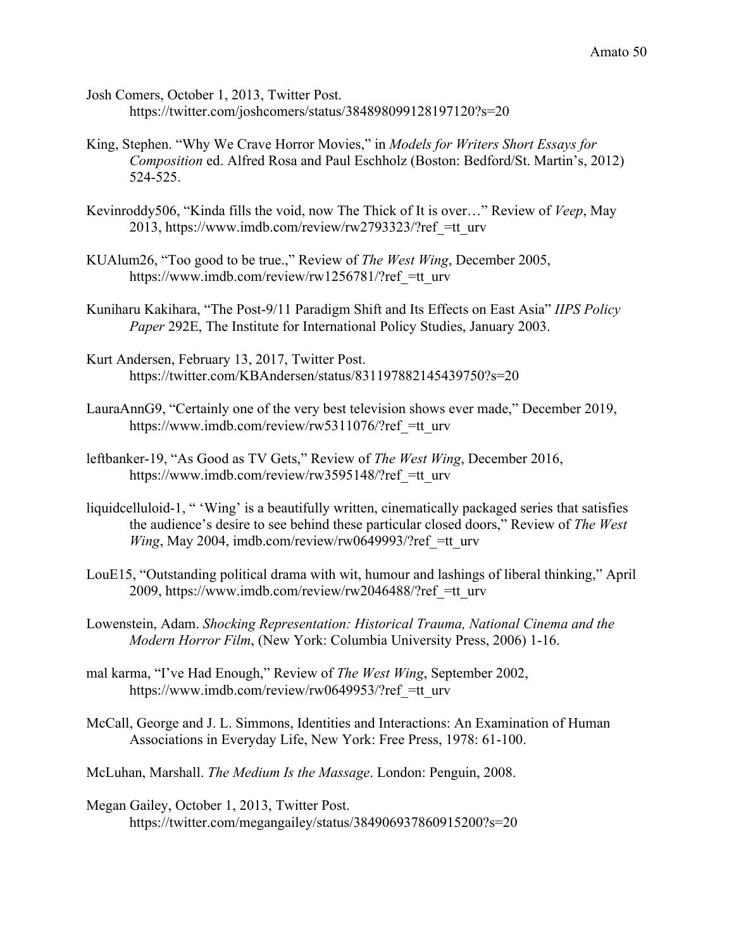- Josh Comers, October 1, 2013, Twitter Post. https://twitter.com/joshcomers/status/384898099128197120?s=20
- King, Stephen. "Why We Crave Horror Movies," in *Models for Writers Short Essays for Composition* ed. Alfred Rosa and Paul Eschholz (Boston: Bedford/St. Martin's, 2012) 524-525.
- Kevinroddy506, "Kinda fills the void, now The Thick of It is over…" Review of *Veep*, May 2013, https://www.imdb.com/review/rw2793323/?ref\_=tt\_urv
- KUAlum26, "Too good to be true.," Review of *The West Wing*, December 2005, https://www.imdb.com/review/rw1256781/?ref =tt\_urv
- Kuniharu Kakihara, "The Post-9/11 Paradigm Shift and Its Effects on East Asia" *IIPS Policy Paper* 292E, The Institute for International Policy Studies, January 2003.
- Kurt Andersen, February 13, 2017, Twitter Post. https://twitter.com/KBAndersen/status/831197882145439750?s=20
- LauraAnnG9, "Certainly one of the very best television shows ever made," December 2019, https://www.imdb.com/review/rw5311076/?ref =tt\_urv
- leftbanker-19, "As Good as TV Gets," Review of *The West Wing*, December 2016, https://www.imdb.com/review/rw3595148/?ref =tt\_urv
- liquidcelluloid-1, " 'Wing' is a beautifully written, cinematically packaged series that satisfies the audience's desire to see behind these particular closed doors," Review of *The West Wing*, May 2004, imdb.com/review/rw0649993/?ref =tt\_urv
- LouE15, "Outstanding political drama with wit, humour and lashings of liberal thinking," April 2009, https://www.imdb.com/review/rw2046488/?ref\_=tt\_urv
- Lowenstein, Adam. *Shocking Representation: Historical Trauma, National Cinema and the Modern Horror Film*, (New York: Columbia University Press, 2006) 1-16.
- mal karma, "I've Had Enough," Review of *The West Wing*, September 2002, https://www.imdb.com/review/rw0649953/?ref =tt\_urv
- McCall, George and J. L. Simmons, Identities and Interactions: An Examination of Human Associations in Everyday Life, New York: Free Press, 1978: 61-100.
- McLuhan, Marshall. *The Medium Is the Massage*. London: Penguin, 2008.
- Megan Gailey, October 1, 2013, Twitter Post. https://twitter.com/megangailey/status/384906937860915200?s=20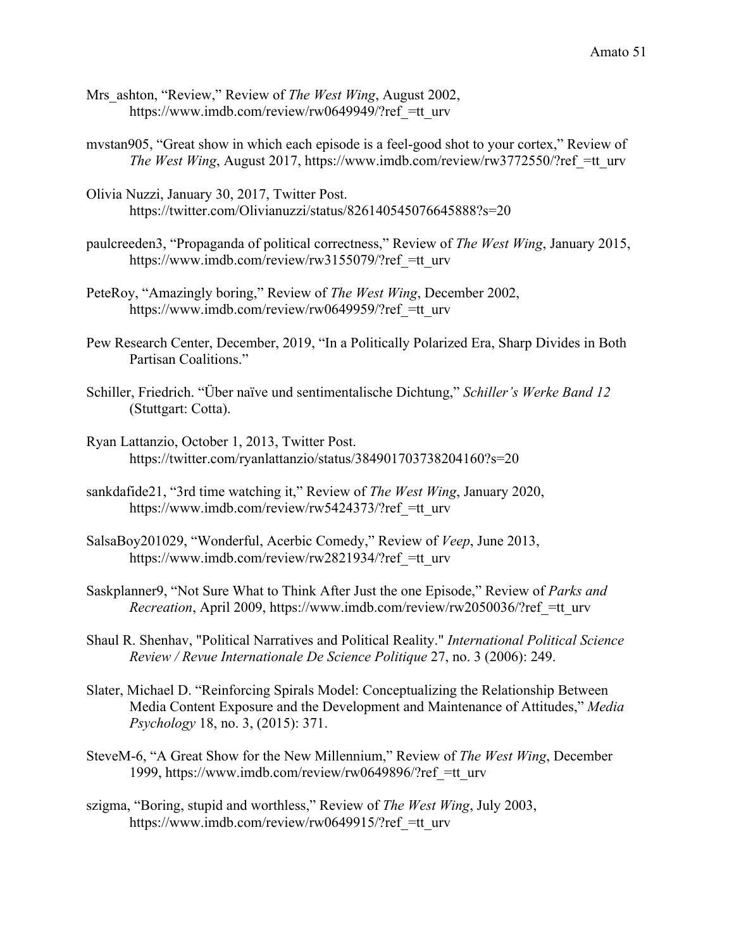- Mrs\_ashton, "Review," Review of *The West Wing*, August 2002, https://www.imdb.com/review/rw0649949/?ref =tt\_urv
- mvstan905, "Great show in which each episode is a feel-good shot to your cortex," Review of *The West Wing*, August 2017, https://www.imdb.com/review/rw3772550/?ref = tt\_urv
- Olivia Nuzzi, January 30, 2017, Twitter Post. https://twitter.com/Olivianuzzi/status/826140545076645888?s=20
- paulcreeden3, "Propaganda of political correctness," Review of *The West Wing*, January 2015, https://www.imdb.com/review/rw3155079/?ref =tt\_urv
- PeteRoy, "Amazingly boring," Review of *The West Wing*, December 2002, https://www.imdb.com/review/rw0649959/?ref =tt\_urv
- Pew Research Center, December, 2019, "In a Politically Polarized Era, Sharp Divides in Both Partisan Coalitions."
- Schiller, Friedrich. "Über naïve und sentimentalische Dichtung," *Schiller's Werke Band 12* (Stuttgart: Cotta).
- Ryan Lattanzio, October 1, 2013, Twitter Post. https://twitter.com/ryanlattanzio/status/384901703738204160?s=20
- sankdafide21, "3rd time watching it," Review of *The West Wing*, January 2020, https://www.imdb.com/review/rw5424373/?ref =tt\_urv
- SalsaBoy201029, "Wonderful, Acerbic Comedy," Review of *Veep*, June 2013, https://www.imdb.com/review/rw2821934/?ref =tt\_urv
- Saskplanner9, "Not Sure What to Think After Just the one Episode," Review of *Parks and Recreation*, April 2009, https://www.imdb.com/review/rw2050036/?ref =tt\_urv
- Shaul R. Shenhav, "Political Narratives and Political Reality." *International Political Science Review / Revue Internationale De Science Politique* 27, no. 3 (2006): 249.
- Slater, Michael D. "Reinforcing Spirals Model: Conceptualizing the Relationship Between Media Content Exposure and the Development and Maintenance of Attitudes," *Media Psychology* 18, no. 3, (2015): 371.
- SteveM-6, "A Great Show for the New Millennium," Review of *The West Wing*, December 1999, https://www.imdb.com/review/rw0649896/?ref\_=tt\_urv
- szigma, "Boring, stupid and worthless," Review of *The West Wing*, July 2003, https://www.imdb.com/review/rw0649915/?ref =tt\_urv